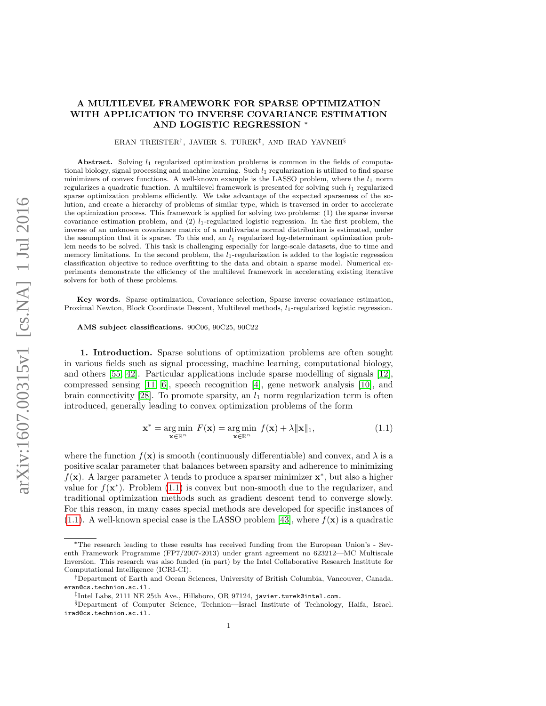## A MULTILEVEL FRAMEWORK FOR SPARSE OPTIMIZATION WITH APPLICATION TO INVERSE COVARIANCE ESTIMATION AND LOGISTIC REGRESSION <sup>∗</sup>

ERAN TREISTER† , JAVIER S. TUREK‡ , AND IRAD YAVNEH§

Abstract. Solving  $l_1$  regularized optimization problems is common in the fields of computational biology, signal processing and machine learning. Such  $l_1$  regularization is utilized to find sparse minimizers of convex functions. A well-known example is the LASSO problem, where the  $l_1$  norm regularizes a quadratic function. A multilevel framework is presented for solving such  $l_1$  regularized sparse optimization problems efficiently. We take advantage of the expected sparseness of the solution, and create a hierarchy of problems of similar type, which is traversed in order to accelerate the optimization process. This framework is applied for solving two problems: (1) the sparse inverse covariance estimation problem, and  $(2)$   $l_1$ -regularized logistic regression. In the first problem, the inverse of an unknown covariance matrix of a multivariate normal distribution is estimated, under the assumption that it is sparse. To this end, an  $l_1$  regularized log-determinant optimization problem needs to be solved. This task is challenging especially for large-scale datasets, due to time and memory limitations. In the second problem, the  $l_1$ -regularization is added to the logistic regression classification objective to reduce overfitting to the data and obtain a sparse model. Numerical experiments demonstrate the efficiency of the multilevel framework in accelerating existing iterative solvers for both of these problems.

Key words. Sparse optimization, Covariance selection, Sparse inverse covariance estimation, Proximal Newton, Block Coordinate Descent, Multilevel methods,  $l_1$ -regularized logistic regression.

AMS subject classifications. 90C06, 90C25, 90C22

1. Introduction. Sparse solutions of optimization problems are often sought in various fields such as signal processing, machine learning, computational biology, and others [\[55,](#page-26-0) [42\]](#page-26-1). Particular applications include sparse modelling of signals [\[12\]](#page-24-0), compressed sensing  $[11, 6]$  $[11, 6]$ , speech recognition  $[4]$ , gene network analysis  $[10]$ , and brain connectivity [\[28\]](#page-25-0). To promote sparsity, an  $l_1$  norm regularization term is often introduced, generally leading to convex optimization problems of the form

<span id="page-0-0"></span>
$$
\mathbf{x}^* = \underset{\mathbf{x} \in \mathbb{R}^n}{\arg \min} \ F(\mathbf{x}) = \underset{\mathbf{x} \in \mathbb{R}^n}{\arg \min} \ f(\mathbf{x}) + \lambda \|\mathbf{x}\|_1,\tag{1.1}
$$

where the function  $f(\mathbf{x})$  is smooth (continuously differentiable) and convex, and  $\lambda$  is a positive scalar parameter that balances between sparsity and adherence to minimizing  $f(\mathbf{x})$ . A larger parameter  $\lambda$  tends to produce a sparser minimizer  $\mathbf{x}^*$ , but also a higher value for  $f(\mathbf{x}^*)$ . Problem [\(1.1\)](#page-0-0) is convex but non-smooth due to the regularizer, and traditional optimization methods such as gradient descent tend to converge slowly. For this reason, in many cases special methods are developed for specific instances of  $(1.1)$ . A well-known special case is the LASSO problem [\[43\]](#page-26-2), where  $f(\mathbf{x})$  is a quadratic

<sup>∗</sup>The research leading to these results has received funding from the European Union's - Seventh Framework Programme (FP7/2007-2013) under grant agreement no 623212—MC Multiscale Inversion. This research was also funded (in part) by the Intel Collaborative Research Institute for Computational Intelligence (ICRI-CI).

<sup>†</sup>Department of Earth and Ocean Sciences, University of British Columbia, Vancouver, Canada. eran@cs.technion.ac.il.

<sup>‡</sup> Intel Labs, 2111 NE 25th Ave., Hillsboro, OR 97124, javier.turek@intel.com.

<sup>§</sup>Department of Computer Science, Technion—Israel Institute of Technology, Haifa, Israel. irad@cs.technion.ac.il.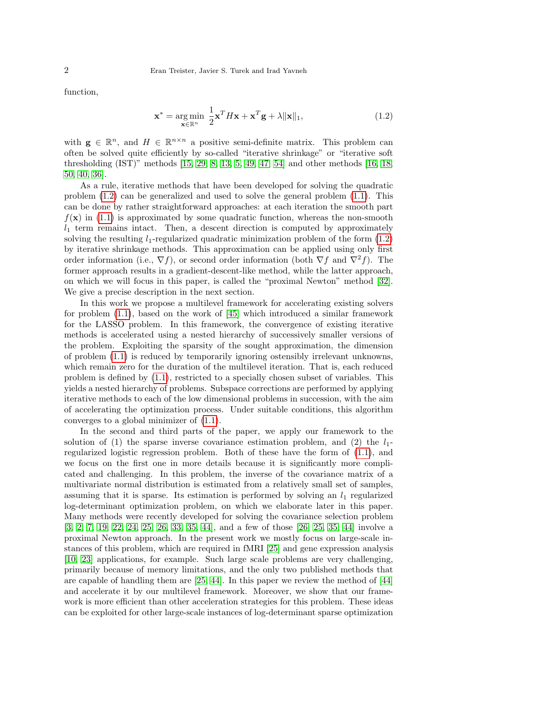function,

<span id="page-1-0"></span>
$$
\mathbf{x}^* = \underset{\mathbf{x} \in \mathbb{R}^n}{\arg \min} \ \frac{1}{2} \mathbf{x}^T H \mathbf{x} + \mathbf{x}^T \mathbf{g} + \lambda \|\mathbf{x}\|_1,\tag{1.2}
$$

with  $\mathbf{g} \in \mathbb{R}^n$ , and  $H \in \mathbb{R}^{n \times n}$  a positive semi-definite matrix. This problem can often be solved quite efficiently by so-called "iterative shrinkage" or "iterative soft thresholding (IST)" methods [\[15,](#page-25-1) [29,](#page-25-2) [8,](#page-24-5) [13,](#page-24-6) [5,](#page-24-7) [49,](#page-26-3) [47,](#page-26-4) [54\]](#page-26-5) and other methods [\[16,](#page-25-3) [18,](#page-25-4) [50,](#page-26-6) [40,](#page-25-5) [36\]](#page-25-6).

As a rule, iterative methods that have been developed for solving the quadratic problem [\(1.2\)](#page-1-0) can be generalized and used to solve the general problem [\(1.1\)](#page-0-0). This can be done by rather straightforward approaches: at each iteration the smooth part  $f(\mathbf{x})$  in [\(1.1\)](#page-0-0) is approximated by some quadratic function, whereas the non-smooth  $l_1$  term remains intact. Then, a descent direction is computed by approximately solving the resulting  $l_1$ -regularized quadratic minimization problem of the form  $(1.2)$ by iterative shrinkage methods. This approximation can be applied using only first order information (i.e.,  $\nabla f$ ), or second order information (both  $\nabla f$  and  $\nabla^2 f$ ). The former approach results in a gradient-descent-like method, while the latter approach, on which we will focus in this paper, is called the "proximal Newton" method [\[32\]](#page-25-7). We give a precise description in the next section.

In this work we propose a multilevel framework for accelerating existing solvers for problem [\(1.1\)](#page-0-0), based on the work of [\[45\]](#page-26-7) which introduced a similar framework for the LASSO problem. In this framework, the convergence of existing iterative methods is accelerated using a nested hierarchy of successively smaller versions of the problem. Exploiting the sparsity of the sought approximation, the dimension of problem [\(1.1\)](#page-0-0) is reduced by temporarily ignoring ostensibly irrelevant unknowns, which remain zero for the duration of the multilevel iteration. That is, each reduced problem is defined by [\(1.1\)](#page-0-0), restricted to a specially chosen subset of variables. This yields a nested hierarchy of problems. Subspace corrections are performed by applying iterative methods to each of the low dimensional problems in succession, with the aim of accelerating the optimization process. Under suitable conditions, this algorithm converges to a global minimizer of [\(1.1\)](#page-0-0).

In the second and third parts of the paper, we apply our framework to the solution of (1) the sparse inverse covariance estimation problem, and (2) the  $l_1$ regularized logistic regression problem. Both of these have the form of [\(1.1\)](#page-0-0), and we focus on the first one in more details because it is significantly more complicated and challenging. In this problem, the inverse of the covariance matrix of a multivariate normal distribution is estimated from a relatively small set of samples, assuming that it is sparse. Its estimation is performed by solving an  $l_1$  regularized log-determinant optimization problem, on which we elaborate later in this paper. Many methods were recently developed for solving the covariance selection problem [\[3,](#page-24-8) [2,](#page-24-9) [7,](#page-24-10) [19,](#page-25-8) [22,](#page-25-9) [24,](#page-25-10) [25,](#page-25-11) [26,](#page-25-12) [33,](#page-25-13) [35,](#page-25-14) [44\]](#page-26-8), and a few of those [\[26,](#page-25-12) [25,](#page-25-11) [35,](#page-25-14) [44\]](#page-26-8) involve a proximal Newton approach. In the present work we mostly focus on large-scale instances of this problem, which are required in fMRI [\[25\]](#page-25-11) and gene expression analysis [\[10,](#page-24-4) [23\]](#page-25-15) applications, for example. Such large scale problems are very challenging, primarily because of memory limitations, and the only two published methods that are capable of handling them are  $[25, 44]$  $[25, 44]$ . In this paper we review the method of  $[44]$ and accelerate it by our multilevel framework. Moreover, we show that our framework is more efficient than other acceleration strategies for this problem. These ideas can be exploited for other large-scale instances of log-determinant sparse optimization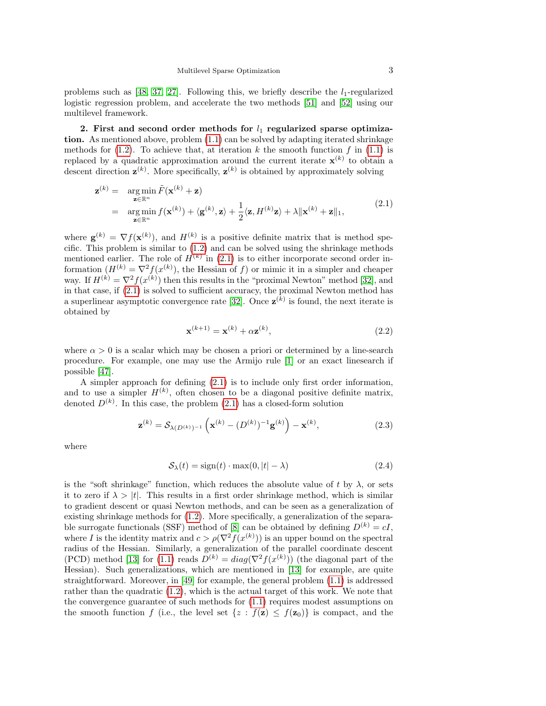problems such as [\[48,](#page-26-9) [37,](#page-25-16) [27\]](#page-25-17). Following this, we briefly describe the  $l_1$ -regularized logistic regression problem, and accelerate the two methods [\[51\]](#page-26-10) and [\[52\]](#page-26-11) using our multilevel framework.

<span id="page-2-3"></span>2. First and second order methods for  $l_1$  regularized sparse optimization. As mentioned above, problem [\(1.1\)](#page-0-0) can be solved by adapting iterated shrinkage methods for  $(1.2)$ . To achieve that, at iteration k the smooth function f in  $(1.1)$  is replaced by a quadratic approximation around the current iterate  $\mathbf{x}^{(k)}$  to obtain a descent direction  $\mathbf{z}^{(k)}$ . More specifically,  $\mathbf{z}^{(k)}$  is obtained by approximately solving

<span id="page-2-0"></span>
$$
\mathbf{z}^{(k)} = \underset{\mathbf{z} \in \mathbb{R}^n}{\arg \min} \tilde{F}(\mathbf{x}^{(k)} + \mathbf{z})
$$
  
= 
$$
\underset{\mathbf{z} \in \mathbb{R}^n}{\arg \min} f(\mathbf{x}^{(k)}) + \langle \mathbf{g}^{(k)}, \mathbf{z} \rangle + \frac{1}{2} \langle \mathbf{z}, H^{(k)} \mathbf{z} \rangle + \lambda \|\mathbf{x}^{(k)} + \mathbf{z}\|_1,
$$
 (2.1)

where  $\mathbf{g}^{(k)} = \nabla f(\mathbf{x}^{(k)})$ , and  $H^{(k)}$  is a positive definite matrix that is method specific. This problem is similar to [\(1.2\)](#page-1-0) and can be solved using the shrinkage methods mentioned earlier. The role of  $H^{(k)}$  in [\(2.1\)](#page-2-0) is to either incorporate second order information  $(H^{(k)} = \nabla^2 f(x^{(k)})$ , the Hessian of f) or mimic it in a simpler and cheaper way. If  $H^{(k)} = \nabla^2 f(x^{(k)})$  then this results in the "proximal Newton" method [\[32\]](#page-25-7), and in that case, if [\(2.1\)](#page-2-0) is solved to sufficient accuracy, the proximal Newton method has a superlinear asymptotic convergence rate [\[32\]](#page-25-7). Once  $\mathbf{z}^{(k)}$  is found, the next iterate is obtained by

<span id="page-2-2"></span>
$$
\mathbf{x}^{(k+1)} = \mathbf{x}^{(k)} + \alpha \mathbf{z}^{(k)},\tag{2.2}
$$

where  $\alpha > 0$  is a scalar which may be chosen a priori or determined by a line-search procedure. For example, one may use the Armijo rule [\[1\]](#page-24-11) or an exact linesearch if possible [\[47\]](#page-26-4).

A simpler approach for defining [\(2.1\)](#page-2-0) is to include only first order information, and to use a simpler  $H^{(k)}$ , often chosen to be a diagonal positive definite matrix, denoted  $D^{(k)}$ . In this case, the problem  $(2.1)$  has a closed-form solution

<span id="page-2-1"></span>
$$
\mathbf{z}^{(k)} = \mathcal{S}_{\lambda(D^{(k)})^{-1}}\left(\mathbf{x}^{(k)} - (D^{(k)})^{-1}\mathbf{g}^{(k)}\right) - \mathbf{x}^{(k)},\tag{2.3}
$$

where

$$
S_{\lambda}(t) = sign(t) \cdot max(0, |t| - \lambda)
$$
\n(2.4)

is the "soft shrinkage" function, which reduces the absolute value of t by  $\lambda$ , or sets it to zero if  $\lambda > |t|$ . This results in a first order shrinkage method, which is similar to gradient descent or quasi Newton methods, and can be seen as a generalization of existing shrinkage methods for [\(1.2\)](#page-1-0). More specifically, a generalization of the separa-ble surrogate functionals (SSF) method of [\[8\]](#page-24-5) can be obtained by defining  $D^{(k)} = cI$ , where I is the identity matrix and  $c > \rho(\nabla^2 f(x^{(k)}))$  is an upper bound on the spectral radius of the Hessian. Similarly, a generalization of the parallel coordinate descent (PCD) method [\[13\]](#page-24-6) for [\(1.1\)](#page-0-0) reads  $D^{(k)} = diag(\nabla^2 f(x^{(k)}))$  (the diagonal part of the Hessian). Such generalizations, which are mentioned in [\[13\]](#page-24-6) for example, are quite straightforward. Moreover, in [\[49\]](#page-26-3) for example, the general problem [\(1.1\)](#page-0-0) is addressed rather than the quadratic [\(1.2\)](#page-1-0), which is the actual target of this work. We note that the convergence guarantee of such methods for [\(1.1\)](#page-0-0) requires modest assumptions on the smooth function f (i.e., the level set  $\{z : f(z) \leq f(z_0)\}\$ is compact, and the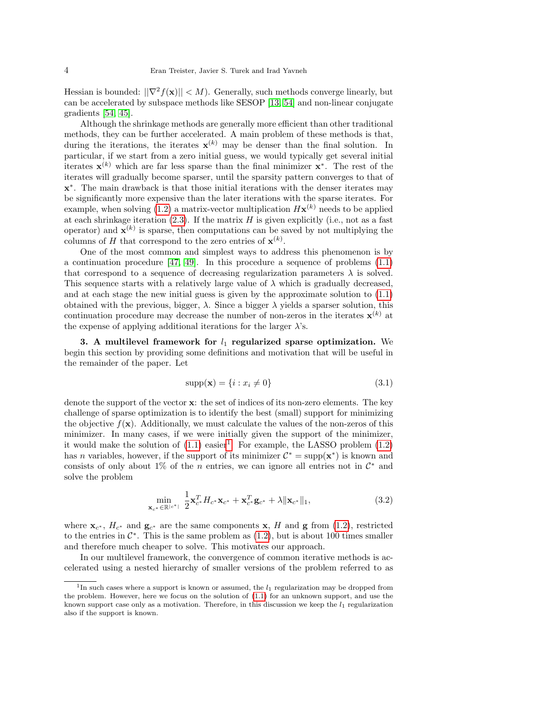Hessian is bounded:  $||\nabla^2 f(\mathbf{x})|| < M$ . Generally, such methods converge linearly, but can be accelerated by subspace methods like SESOP [\[13,](#page-24-6) [54\]](#page-26-5) and non-linear conjugate gradients [\[54,](#page-26-5) [45\]](#page-26-7).

Although the shrinkage methods are generally more efficient than other traditional methods, they can be further accelerated. A main problem of these methods is that, during the iterations, the iterates  $\mathbf{x}^{(k)}$  may be denser than the final solution. In particular, if we start from a zero initial guess, we would typically get several initial iterates  $\mathbf{x}^{(k)}$  which are far less sparse than the final minimizer  $\mathbf{x}^*$ . The rest of the iterates will gradually become sparser, until the sparsity pattern converges to that of x ∗ . The main drawback is that those initial iterations with the denser iterates may be significantly more expensive than the later iterations with the sparse iterates. For example, when solving [\(1.2\)](#page-1-0) a matrix-vector multiplication  $H\mathbf{x}^{(k)}$  needs to be applied at each shrinkage iteration  $(2.3)$ . If the matrix H is given explicitly (i.e., not as a fast operator) and  $\mathbf{x}^{(k)}$  is sparse, then computations can be saved by not multiplying the columns of H that correspond to the zero entries of  $\mathbf{x}^{(k)}$ .

One of the most common and simplest ways to address this phenomenon is by a continuation procedure  $[47, 49]$  $[47, 49]$ . In this procedure a sequence of problems  $(1.1)$ that correspond to a sequence of decreasing regularization parameters  $\lambda$  is solved. This sequence starts with a relatively large value of  $\lambda$  which is gradually decreased, and at each stage the new initial guess is given by the approximate solution to [\(1.1\)](#page-0-0) obtained with the previous, bigger,  $\lambda$ . Since a bigger  $\lambda$  yields a sparser solution, this continuation procedure may decrease the number of non-zeros in the iterates  $\mathbf{x}^{(k)}$  at the expense of applying additional iterations for the larger  $\lambda$ 's.

3. A multilevel framework for  $l_1$  regularized sparse optimization. We begin this section by providing some definitions and motivation that will be useful in the remainder of the paper. Let

<span id="page-3-1"></span>
$$
supp(\mathbf{x}) = \{i : x_i \neq 0\}
$$
\n
$$
(3.1)
$$

denote the support of the vector x: the set of indices of its non-zero elements. The key challenge of sparse optimization is to identify the best (small) support for minimizing the objective  $f(\mathbf{x})$ . Additionally, we must calculate the values of the non-zeros of this minimizer. In many cases, if we were initially given the support of the minimizer, it would make the solution of  $(1.1)$  easier<sup>[1](#page-3-0)</sup>. For example, the LASSO problem  $(1.2)$ has *n* variables, however, if the support of its minimizer  $\mathcal{C}^* = \text{supp}(\mathbf{x}^*)$  is known and consists of only about 1% of the *n* entries, we can ignore all entries not in  $\mathcal{C}^*$  and solve the problem

<span id="page-3-2"></span>
$$
\min_{\mathbf{x}_{c^*} \in \mathbb{R}^{|c^*|}} \frac{1}{2} \mathbf{x}_{c^*}^T H_{c^*} \mathbf{x}_{c^*} + \mathbf{x}_{c^*}^T \mathbf{g}_{c^*} + \lambda \|\mathbf{x}_{c^*}\|_1, \tag{3.2}
$$

where  $\mathbf{x}_{c^*}$ ,  $H_{c^*}$  and  $\mathbf{g}_{c^*}$  are the same components  $\mathbf{x}$ , H and  $\mathbf{g}$  from [\(1.2\)](#page-1-0), restricted to the entries in  $\mathcal{C}^*$ . This is the same problem as  $(1.2)$ , but is about 100 times smaller and therefore much cheaper to solve. This motivates our approach.

In our multilevel framework, the convergence of common iterative methods is accelerated using a nested hierarchy of smaller versions of the problem referred to as

<span id="page-3-0"></span><sup>&</sup>lt;sup>1</sup>In such cases where a support is known or assumed, the  $l_1$  regularization may be dropped from the problem. However, here we focus on the solution of [\(1.1\)](#page-0-0) for an unknown support, and use the known support case only as a motivation. Therefore, in this discussion we keep the  $l_1$  regularization also if the support is known.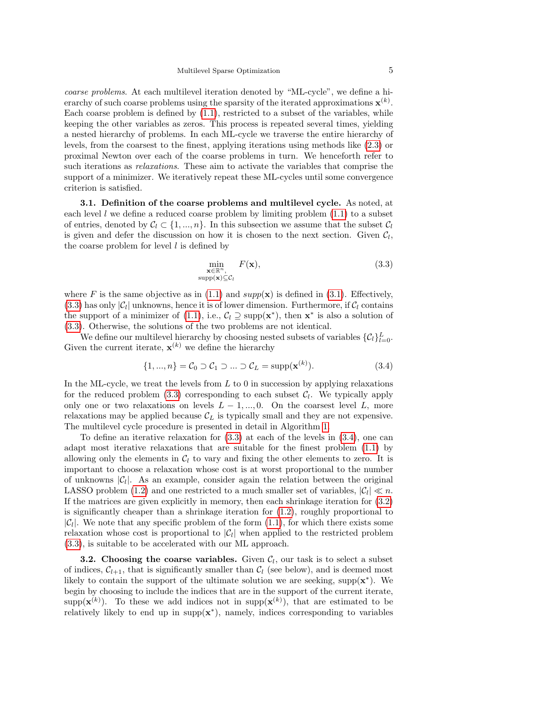coarse problems. At each multilevel iteration denoted by "ML-cycle", we define a hierarchy of such coarse problems using the sparsity of the iterated approximations  $\mathbf{x}^{(k)}$ . Each coarse problem is defined by [\(1.1\)](#page-0-0), restricted to a subset of the variables, while keeping the other variables as zeros. This process is repeated several times, yielding a nested hierarchy of problems. In each ML-cycle we traverse the entire hierarchy of levels, from the coarsest to the finest, applying iterations using methods like [\(2.3\)](#page-2-1) or proximal Newton over each of the coarse problems in turn. We henceforth refer to such iterations as relaxations. These aim to activate the variables that comprise the support of a minimizer. We iteratively repeat these ML-cycles until some convergence criterion is satisfied.

3.1. Definition of the coarse problems and multilevel cycle. As noted, at each level l we define a reduced coarse problem by limiting problem  $(1.1)$  to a subset of entries, denoted by  $C_l \subset \{1, ..., n\}$ . In this subsection we assume that the subset  $C_l$ is given and defer the discussion on how it is chosen to the next section. Given  $\mathcal{C}_l$ , the coarse problem for level  $l$  is defined by

<span id="page-4-0"></span>
$$
\min_{\substack{\mathbf{x} \in \mathbb{R}^n, \\ \text{supp}(\mathbf{x}) \subseteq \mathcal{C}_l}} F(\mathbf{x}),\tag{3.3}
$$

where F is the same objective as in [\(1.1\)](#page-0-0) and  $supp(x)$  is defined in [\(3.1\)](#page-3-1). Effectively, [\(3.3\)](#page-4-0) has only  $|\mathcal{C}_l|$  unknowns, hence it is of lower dimension. Furthermore, if  $\mathcal{C}_l$  contains the support of a minimizer of [\(1.1\)](#page-0-0), i.e.,  $C_l \supseteq \text{supp}(\mathbf{x}^*)$ , then  $\mathbf{x}^*$  is also a solution of [\(3.3\)](#page-4-0). Otherwise, the solutions of the two problems are not identical.

We define our multilevel hierarchy by choosing nested subsets of variables  $\{\mathcal{C}_l\}_{l=0}^L$ . Given the current iterate,  $\mathbf{x}^{(k)}$  we define the hierarchy

<span id="page-4-2"></span>
$$
\{1, ..., n\} = \mathcal{C}_0 \supset \mathcal{C}_1 \supset ... \supset \mathcal{C}_L = \text{supp}(\mathbf{x}^{(k)}). \tag{3.4}
$$

In the ML-cycle, we treat the levels from  $L$  to 0 in succession by applying relaxations for the reduced problem  $(3.3)$  corresponding to each subset  $C_l$ . We typically apply only one or two relaxations on levels  $L-1, ..., 0$ . On the coarsest level L, more relaxations may be applied because  $\mathcal{C}_L$  is typically small and they are not expensive. The multilevel cycle procedure is presented in detail in Algorithm [1.](#page-4-1)

To define an iterative relaxation for [\(3.3\)](#page-4-0) at each of the levels in [\(3.4\)](#page-4-2), one can adapt most iterative relaxations that are suitable for the finest problem [\(1.1\)](#page-0-0) by allowing only the elements in  $C_l$  to vary and fixing the other elements to zero. It is important to choose a relaxation whose cost is at worst proportional to the number of unknowns  $|\mathcal{C}_l|$ . As an example, consider again the relation between the original LASSO problem [\(1.2\)](#page-1-0) and one restricted to a much smaller set of variables,  $|\mathcal{C}_l| \ll n$ . If the matrices are given explicitly in memory, then each shrinkage iteration for [\(3.2\)](#page-3-2) is significantly cheaper than a shrinkage iteration for  $(1.2)$ , roughly proportional to  $|\mathcal{C}_l|$ . We note that any specific problem of the form  $(1.1)$ , for which there exists some relaxation whose cost is proportional to  $|\mathcal{C}_l|$  when applied to the restricted problem [\(3.3\)](#page-4-0), is suitable to be accelerated with our ML approach.

<span id="page-4-3"></span><span id="page-4-1"></span>**3.2.** Choosing the coarse variables. Given  $C_l$ , our task is to select a subset of indices,  $C_{l+1}$ , that is significantly smaller than  $C_l$  (see below), and is deemed most likely to contain the support of the ultimate solution we are seeking,  $supp(x^*)$ . We begin by choosing to include the indices that are in the support of the current iterate, supp( $\mathbf{x}^{(k)}$ ). To these we add indices not in supp( $\mathbf{x}^{(k)}$ ), that are estimated to be relatively likely to end up in  $\text{supp}(\mathbf{x}^*)$ , namely, indices corresponding to variables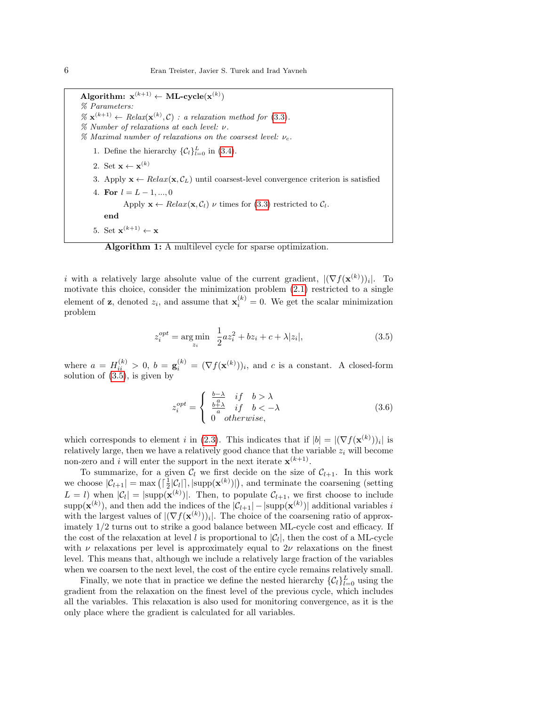$\mathbf{Algorithm:}\ \ \mathbf{x}^{(k+1)} \leftarrow \textbf{ML-cycle}(\mathbf{x}^{(k)})$ % Parameters:  $\% \mathbf{x}^{(k+1)} \leftarrow Relax(\mathbf{x}^{(k)}, \mathcal{C})$ : a relaxation method for [\(3.3\)](#page-4-0). % Number of relaxations at each level: ν. % Maximal number of relaxations on the coarsest level:  $\nu_c$ . 1. Define the hierarchy  $\{\mathcal{C}_l\}_{l=0}^L$  in [\(3.4\)](#page-4-2). 2. Set  $\mathbf{x} \leftarrow \mathbf{x}^{(k)}$ 3. Apply  $\mathbf{x} \leftarrow Relax(\mathbf{x}, \mathcal{C}_L)$  until coarsest-level convergence criterion is satisfied 4. For  $l = L - 1, ..., 0$ Apply  $\mathbf{x} \leftarrow Relax(\mathbf{x}, \mathcal{C}_l)$   $\nu$  times for [\(3.3\)](#page-4-0) restricted to  $\mathcal{C}_l$ . end 5. Set  $\mathbf{x}^{(k+1)} \leftarrow \mathbf{x}$ 

<span id="page-5-1"></span>Algorithm 1: A multilevel cycle for sparse optimization.

i with a relatively large absolute value of the current gradient,  $|(\nabla f(\mathbf{x}^{(k)}))_i|$ . To motivate this choice, consider the minimization problem [\(2.1\)](#page-2-0) restricted to a single element of **z**, denoted  $z_i$ , and assume that  $\mathbf{x}_i^{(k)} = 0$ . We get the scalar minimization problem

<span id="page-5-0"></span>
$$
z_i^{opt} = \underset{z_i}{\text{arg min}} \frac{1}{2}az_i^2 + bz_i + c + \lambda |z_i|,
$$
\n(3.5)

where  $a = H_{ii}^{(k)} > 0$ ,  $b = \mathbf{g}_i^{(k)} = (\nabla f(\mathbf{x}^{(k)}))_i$ , and c is a constant. A closed-form solution of [\(3.5\)](#page-5-0), is given by

$$
z_i^{opt} = \begin{cases} \frac{b-\lambda}{a} & \text{if } b > \lambda\\ \frac{b+\lambda}{a} & \text{if } b < -\lambda\\ 0 & \text{otherwise,} \end{cases} \tag{3.6}
$$

which corresponds to element i in [\(2.3\)](#page-2-1). This indicates that if  $|b| = |(\nabla f(\mathbf{x}^{(k)}))_i|$  is relatively large, then we have a relatively good chance that the variable  $z_i$  will become non-zero and i will enter the support in the next iterate  $\mathbf{x}^{(k+1)}$ .

To summarize, for a given  $C_l$  we first decide on the size of  $C_{l+1}$ . In this work we choose  $|\mathcal{C}_{l+1}| = \max\left(\lceil \frac{1}{2}|\mathcal{C}_l|\rceil, |\text{supp}(\mathbf{x}^{(k)})|\right)$ , and terminate the coarsening (setting  $L = l$ ) when  $|\mathcal{C}_l| = |\text{supp}(\mathbf{x}^{(k)})|$ . Then, to populate  $\mathcal{C}_{l+1}$ , we first choose to include  $\text{supp}(\mathbf{x}^{(k)})$ , and then add the indices of the  $|\mathcal{C}_{l+1}| - |\text{supp}(\mathbf{x}^{(k)})|$  additional variables i with the largest values of  $|(\nabla f(\mathbf{x}^{(k)}))_i|$ . The choice of the coarsening ratio of approximately 1/2 turns out to strike a good balance between ML-cycle cost and efficacy. If the cost of the relaxation at level l is proportional to  $|\mathcal{C}_l|$ , then the cost of a ML-cycle with  $\nu$  relaxations per level is approximately equal to  $2\nu$  relaxations on the finest level. This means that, although we include a relatively large fraction of the variables when we coarsen to the next level, the cost of the entire cycle remains relatively small.

Finally, we note that in practice we define the nested hierarchy  $\{C_l\}_{l=0}^L$  using the gradient from the relaxation on the finest level of the previous cycle, which includes all the variables. This relaxation is also used for monitoring convergence, as it is the only place where the gradient is calculated for all variables.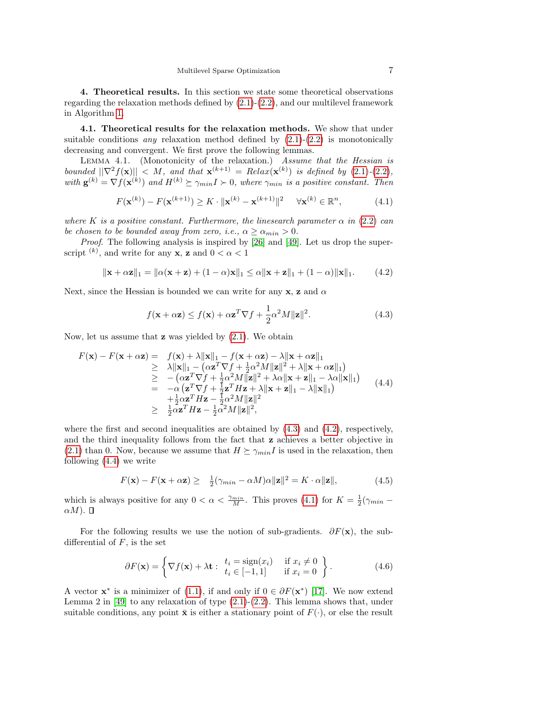4. Theoretical results. In this section we state some theoretical observations regarding the relaxation methods defined by  $(2.1)-(2.2)$  $(2.1)-(2.2)$  $(2.1)-(2.2)$ , and our multilevel framework in Algorithm [1.](#page-4-1)

4.1. Theoretical results for the relaxation methods. We show that under suitable conditions any relaxation method defined by  $(2.1)-(2.2)$  $(2.1)-(2.2)$  $(2.1)-(2.2)$  is monotonically decreasing and convergent. We first prove the following lemmas.

<span id="page-6-4"></span>LEMMA 4.1. (Monotonicity of the relaxation.) Assume that the Hessian is bounded  $||\nabla^2 f(\mathbf{x})|| < M$ , and that  $\mathbf{x}^{(k+1)} = Relax(\mathbf{x}^{(k)})$  is defined by [\(2.1\)](#page-2-0)-[\(2.2\)](#page-2-2), with  $\mathbf{g}^{(k)} = \nabla f(\mathbf{x}^{(k)})$  and  $H^{(k)} \succeq \gamma_{min} I \succ 0$ , where  $\gamma_{min}$  is a positive constant. Then

<span id="page-6-3"></span>
$$
F(\mathbf{x}^{(k)}) - F(\mathbf{x}^{(k+1)}) \ge K \cdot \|\mathbf{x}^{(k)} - \mathbf{x}^{(k+1)}\|^2 \quad \forall \mathbf{x}^{(k)} \in \mathbb{R}^n,
$$
 (4.1)

where K is a positive constant. Furthermore, the linesearch parameter  $\alpha$  in [\(2.2\)](#page-2-2) can be chosen to be bounded away from zero, i.e.,  $\alpha \ge \alpha_{\min} > 0$ .

Proof. The following analysis is inspired by [\[26\]](#page-25-12) and [\[49\]](#page-26-3). Let us drop the superscript  $(k)$ , and write for any **x**, **z** and  $0 < \alpha < 1$ 

<span id="page-6-1"></span>
$$
\|\mathbf{x} + \alpha \mathbf{z}\|_{1} = \|\alpha(\mathbf{x} + \mathbf{z}) + (1 - \alpha)\mathbf{x}\|_{1} \le \alpha \|\mathbf{x} + \mathbf{z}\|_{1} + (1 - \alpha)\|\mathbf{x}\|_{1}.
$$
 (4.2)

Next, since the Hessian is bounded we can write for any **x**, **z** and  $\alpha$ 

<span id="page-6-0"></span>
$$
f(\mathbf{x} + \alpha \mathbf{z}) \le f(\mathbf{x}) + \alpha \mathbf{z}^T \nabla f + \frac{1}{2} \alpha^2 M \|\mathbf{z}\|^2.
$$
 (4.3)

Now, let us assume that  $z$  was yielded by  $(2.1)$ . We obtain

<span id="page-6-2"></span>
$$
F(\mathbf{x}) - F(\mathbf{x} + \alpha \mathbf{z}) = f(\mathbf{x}) + \lambda ||\mathbf{x}||_1 - f(\mathbf{x} + \alpha \mathbf{z}) - \lambda ||\mathbf{x} + \alpha \mathbf{z}||_1
$$
  
\n
$$
\geq \lambda ||\mathbf{x}||_1 - (\alpha \mathbf{z}^T \nabla f + \frac{1}{2} \alpha^2 M ||\mathbf{z}||^2 + \lambda ||\mathbf{x} + \alpha \mathbf{z}||_1)
$$
  
\n
$$
\geq -(\alpha \mathbf{z}^T \nabla f + \frac{1}{2} \alpha^2 M ||\mathbf{z}||^2 + \lambda \alpha ||\mathbf{x} + \mathbf{z}||_1 - \lambda \alpha ||\mathbf{x}||_1)
$$
  
\n
$$
= -\alpha (\mathbf{z}^T \nabla f + \frac{1}{2} \mathbf{z}^T H \mathbf{z} + \lambda ||\mathbf{x} + \mathbf{z}||_1 - \lambda ||\mathbf{x}||_1)
$$
  
\n
$$
+ \frac{1}{2} \alpha \mathbf{z}^T H \mathbf{z} - \frac{1}{2} \alpha^2 M ||\mathbf{z}||^2
$$
  
\n
$$
\geq \frac{1}{2} \alpha \mathbf{z}^T H \mathbf{z} - \frac{1}{2} \alpha^2 M ||\mathbf{z}||^2,
$$
 (4.4)

where the first and second inequalities are obtained by  $(4.3)$  and  $(4.2)$ , respectively, and the third inequality follows from the fact that z achieves a better objective in [\(2.1\)](#page-2-0) than 0. Now, because we assume that  $H \succeq \gamma_{min}I$  is used in the relaxation, then following [\(4.4\)](#page-6-2) we write

<span id="page-6-5"></span>
$$
F(\mathbf{x}) - F(\mathbf{x} + \alpha \mathbf{z}) \ge \frac{1}{2} (\gamma_{min} - \alpha M) \alpha ||\mathbf{z}||^2 = K \cdot \alpha ||\mathbf{z}||, \tag{4.5}
$$

which is always positive for any  $0 < \alpha < \frac{\gamma_{min}}{M}$ . This proves [\(4.1\)](#page-6-3) for  $K = \frac{1}{2}(\gamma_{min} \alpha M$ ).  $\Box$ 

For the following results we use the notion of sub-gradients.  $\partial F(\mathbf{x})$ , the subdifferential of  $F$ , is the set

<span id="page-6-6"></span>
$$
\partial F(\mathbf{x}) = \left\{ \nabla f(\mathbf{x}) + \lambda \mathbf{t} : \begin{array}{ll} t_i = \text{sign}(x_i) & \text{if } x_i \neq 0 \\ t_i \in [-1, 1] & \text{if } x_i = 0 \end{array} \right\} . \tag{4.6}
$$

A vector  $\mathbf{x}^*$  is a minimizer of [\(1.1\)](#page-0-0), if and only if  $0 \in \partial F(\mathbf{x}^*)$  [\[17\]](#page-25-18). We now extend Lemma 2 in [\[49\]](#page-26-3) to any relaxation of type  $(2.1)-(2.2)$  $(2.1)-(2.2)$  $(2.1)-(2.2)$ . This lemma shows that, under suitable conditions, any point  $\bar{\mathbf{x}}$  is either a stationary point of  $F(\cdot)$ , or else the result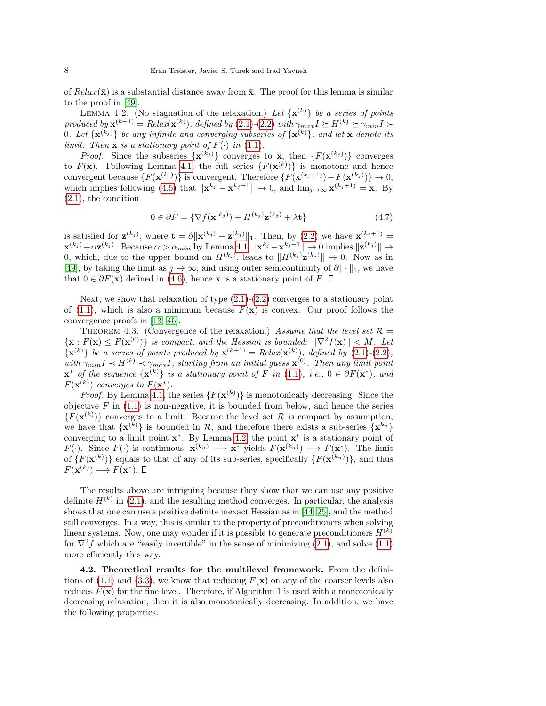of  $Relax(\bar{x})$  is a substantial distance away from  $\bar{x}$ . The proof for this lemma is similar to the proof in [\[49\]](#page-26-3).

<span id="page-7-0"></span>LEMMA 4.2. (No stagnation of the relaxation.) Let  $\{x^{(k)}\}$  be a series of points produced by  $\mathbf{x}^{(k+1)} = Relax(\mathbf{x}^{(k)}),$  defined by [\(2.1\)](#page-2-0)-[\(2.2\)](#page-2-2) with  $\gamma_{max} I \succeq H^{(k)} \succeq \gamma_{min} I \succ$ 0. Let  $\{ {\bf x}^{(k_j)} \}$  be any infinite and converging subseries of  $\{ {\bf x}^{(k)} \}$ , and let  $\bar{\bf x}$  denote its limit. Then  $\bar{\mathbf{x}}$  is a stationary point of  $F(\cdot)$  in [\(1.1\)](#page-0-0).

*Proof.* Since the subseries  $\{x^{(k_j)}\}$  converges to  $\bar{x}$ , then  $\{F(x^{(k_j)})\}$  converges to  $F(\bar{\mathbf{x}})$ . Following Lemma [4.1,](#page-6-4) the full series  $\{F(\mathbf{x}^{(k)})\}$  is monotone and hence convergent because  $\{F(\mathbf{x}^{(k_j)})\}$  is convergent. Therefore  $\{F(\mathbf{x}^{(k_j+1)})-F(\mathbf{x}^{(k_j)})\}\to 0$ , which implies following [\(4.5\)](#page-6-5) that  $\|\mathbf{x}^{k_j} - \mathbf{x}^{k_j+1}\| \to 0$ , and  $\lim_{j\to\infty} \mathbf{x}^{(k_j+1)} = \bar{\mathbf{x}}$ . By [\(2.1\)](#page-2-0), the condition

<span id="page-7-3"></span><span id="page-7-2"></span>
$$
0 \in \partial \tilde{F} = \{ \nabla f(\mathbf{x}^{(k_j)}) + H^{(k_j)} \mathbf{z}^{(k_j)} + \lambda \mathbf{t} \}
$$
(4.7)

is satisfied for  $\mathbf{z}^{(k_j)}$ , where  $\mathbf{t} = \partial \|\mathbf{x}^{(k_j)} + \mathbf{z}^{(k_j)}\|_1$ . Then, by [\(2.2\)](#page-2-2) we have  $\mathbf{x}^{(k_j+1)} =$  $\mathbf{x}^{(k_j)} + \alpha \mathbf{z}^{(k_j)}$ . Because  $\alpha > \alpha_{min}$  by Lemma [4.1,](#page-6-4)  $\|\mathbf{x}^{k_j} - \mathbf{x}^{k_j+1}\| \to 0$  implies  $\|\mathbf{z}^{(k_j)}\| \to$ 0, which, due to the upper bound on  $H^{(k_j)}$ , leads to  $||H^{(k_j)}\mathbf{z}^{(k_j)}|| \to 0$ . Now as in [\[49\]](#page-26-3), by taking the limit as  $j \to \infty$ , and using outer semicontinuity of  $\partial \|\cdot\|_1$ , we have that  $0 \in \partial F(\bar{\mathbf{x}})$  defined in [\(4.6\)](#page-6-6), hence  $\bar{\mathbf{x}}$  is a stationary point of F.  $\Box$ 

Next, we show that relaxation of type  $(2.1)-(2.2)$  $(2.1)-(2.2)$  $(2.1)-(2.2)$  converges to a stationary point of [\(1.1\)](#page-0-0), which is also a minimum because  $F(\mathbf{x})$  is convex. Our proof follows the convergence proofs in [\[13,](#page-24-6) [45\]](#page-26-7).

THEOREM 4.3. (Convergence of the relaxation.) Assume that the level set  $\mathcal{R} =$  ${x: F(x) \le F(x^{(0)})}$  is compact, and the Hessian is bounded:  $||\nabla^2 f(x)|| < M$ . Let  $\{\mathbf x^{(k)}\}$  be a series of points produced by  $\mathbf x^{(k+1)} = Relax(\mathbf x^{(k)}),$  defined by  $(2.1)$ - $(2.2)$ , with  $\gamma_{min} I \prec H^{(k)} \prec \gamma_{max} I$ , starting from an initial guess  $\mathbf{x}^{(0)}$ . Then any limit point  $\mathbf{x}^*$  of the sequence  $\{\mathbf{x}^{(k)}\}$  is a stationary point of F in [\(1.1\)](#page-0-0), i.e.,  $0 \in \partial F(\mathbf{x}^*)$ , and  $F(\mathbf{x}^{(k)})$  converges to  $F(\mathbf{x}^*)$ .

*Proof.* By Lemma [4.1,](#page-6-4) the series  $\{F(\mathbf{x}^{(k)})\}$  is monotonically decreasing. Since the objective  $F$  in  $(1.1)$  is non-negative, it is bounded from below, and hence the series  ${F(\mathbf{x}^{(k)})}$  converges to a limit. Because the level set R is compact by assumption, we have that  $\{x^{(k)}\}$  is bounded in R, and therefore there exists a sub-series  $\{x^{k_n}\}$ converging to a limit point  $x^*$ . By Lemma [4.2,](#page-7-0) the point  $x^*$  is a stationary point of  $F(\cdot)$ . Since  $F(\cdot)$  is continuous,  $\mathbf{x}^{(k_n)} \longrightarrow \mathbf{x}^*$  yields  $F(\mathbf{x}^{(k_n)}) \longrightarrow F(\mathbf{x}^*)$ . The limit of  $\{F(\mathbf{x}^{(k)})\}$  equals to that of any of its sub-series, specifically  $\{F(\mathbf{x}^{(k_n)})\}$ , and thus  $F(\mathbf{x}^{(k)}) \longrightarrow F(\mathbf{x}^*)$ .

The results above are intriguing because they show that we can use any positive definite  $H^{(k)}$  in [\(2.1\)](#page-2-0), and the resulting method converges. In particular, the analysis shows that one can use a positive definite inexact Hessian as in [\[44,](#page-26-8) [25\]](#page-25-11), and the method still converges. In a way, this is similar to the property of preconditioners when solving linear systems. Now, one may wonder if it is possible to generate preconditioners  $H^{(k)}$ for  $\nabla^2 f$  which are "easily invertible" in the sense of minimizing [\(2.1\)](#page-2-0), and solve [\(1.1\)](#page-0-0) more efficiently this way.

<span id="page-7-1"></span>4.2. Theoretical results for the multilevel framework. From the defini-tions of [\(1.1\)](#page-0-0) and [\(3.3\)](#page-4-0), we know that reducing  $F(\mathbf{x})$  on any of the coarser levels also reduces  $F(\mathbf{x})$  for the fine level. Therefore, if Algorithm 1 is used with a monotonically decreasing relaxation, then it is also monotonically decreasing. In addition, we have the following properties.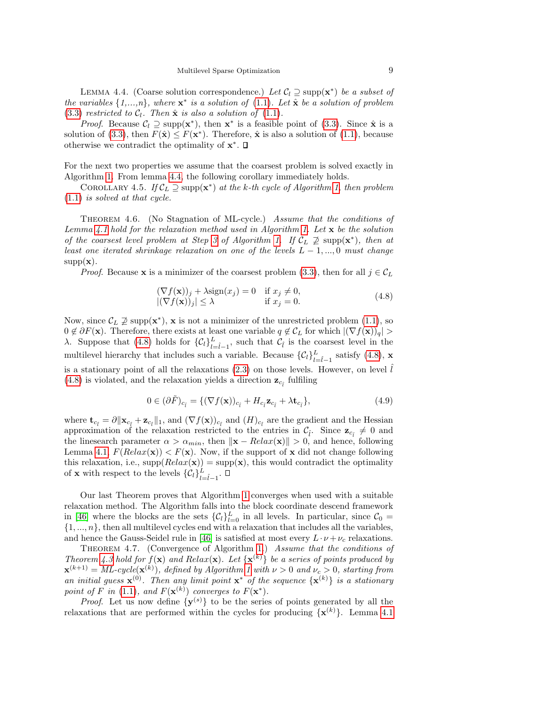LEMMA 4.4. (Coarse solution correspondence.) Let  $C_l \supseteq \text{supp}(\mathbf{x}^*)$  be a subset of the variables  $\{1,...,n\}$ , where  $\mathbf{x}^*$  is a solution of  $(1.1)$ . Let  $\hat{\mathbf{x}}$  be a solution of problem [\(3.3\)](#page-4-0) restricted to  $C_l$ . Then  $\hat{\mathbf{x}}$  is also a solution of [\(1.1\)](#page-0-0).

*Proof.* Because  $C_l \supseteq \text{supp}(\mathbf{x}^*)$ , then  $\mathbf{x}^*$  is a feasible point of [\(3.3\)](#page-4-0). Since  $\hat{\mathbf{x}}$  is a solution of [\(3.3\)](#page-4-0), then  $F(\hat{\mathbf{x}}) \leq F(\mathbf{x}^*)$ . Therefore,  $\hat{\mathbf{x}}$  is also a solution of [\(1.1\)](#page-0-0), because otherwise we contradict the optimality of  $x^*$ .

For the next two properties we assume that the coarsest problem is solved exactly in Algorithm [1.](#page-4-1) From lemma [4.4,](#page-7-1) the following corollary immediately holds.

COROLLARY 4.5. If  $\mathcal{C}_L \supseteq \text{supp}(\mathbf{x}^*)$  at the k-th cycle of Algorithm [1,](#page-4-1) then problem [\(1.1\)](#page-0-0) is solved at that cycle.

THEOREM 4.6. (No Stagnation of ML-cycle.) Assume that the conditions of Lemma [4.1](#page-6-4) hold for the relaxation method used in Algorithm [1.](#page-4-1) Let  $\mathbf x$  be the solution of the coarsest level problem at Step [3](#page-5-1) of Algorithm [1.](#page-4-1) If  $C_L \not\supseteq \text{supp}(\mathbf{x}^*)$ , then at least one iterated shrinkage relaxation on one of the levels  $L-1, ..., 0$  must change  $supp(x)$ .

*Proof.* Because **x** is a minimizer of the coarsest problem [\(3.3\)](#page-4-0), then for all  $j \in C_L$ 

<span id="page-8-0"></span>
$$
(\nabla f(\mathbf{x}))_j + \lambda \text{sign}(x_j) = 0 \quad \text{if } x_j \neq 0,
$$
  
 
$$
|(\nabla f(\mathbf{x}))_j| \leq \lambda \qquad \text{if } x_j = 0.
$$
 (4.8)

Now, since  $\mathcal{C}_L \not\supseteq \text{supp}(\mathbf{x}^*)$ , x is not a minimizer of the unrestricted problem [\(1.1\)](#page-0-0), so  $0 \notin \partial F(\mathbf{x})$ . Therefore, there exists at least one variable  $q \notin C_L$  for which  $|(\nabla f(\mathbf{x}))_q| >$ λ. Suppose that [\(4.8\)](#page-8-0) holds for  $\{C_l\}_{l=\hat{l}-1}^L$ , such that  $C_{\hat{l}}$  is the coarsest level in the multilevel hierarchy that includes such a variable. Because  $\{\mathcal{C}_l\}_{l=\hat{l}-1}^L$  satisfy [\(4.8\)](#page-8-0), **x** is a stationary point of all the relaxations [\(2.3\)](#page-2-1) on those levels. However, on level  $\hat{l}$ [\(4.8\)](#page-8-0) is violated, and the relaxation yields a direction  $\mathbf{z}_{c_i}$  fulfiling

$$
0 \in (\partial \tilde{F})_{c_i} = \{ (\nabla f(\mathbf{x}))_{c_i} + H_{c_i} \mathbf{z}_{c_i} + \lambda \mathbf{t}_{c_i} \},\tag{4.9}
$$

where  $\mathbf{t}_{c_i} = \partial \|\mathbf{x}_{c_i} + \mathbf{z}_{c_i}\|_1$ , and  $(\nabla f(\mathbf{x}))_{c_i}$  and  $(H)_{c_i}$  are the gradient and the Hessian approximation of the relaxation restricted to the entries in  $\mathcal{C}_{\hat{i}}$ . Since  $\mathbf{z}_{c_i} \neq 0$  and the linesearch parameter  $\alpha > \alpha_{min}$ , then  $\|\mathbf{x} - Relax(\mathbf{x})\| > 0$ , and hence, following Lemma [4.1,](#page-6-4)  $F(Relax(\mathbf{x})) < F(\mathbf{x})$ . Now, if the support of x did not change following this relaxation, i.e.,  $\text{supp}(Relax(\mathbf{x})) = \text{supp}(\mathbf{x})$ , this would contradict the optimality of **x** with respect to the levels  $\{\mathcal{C}_l\}_{l=\hat{l}-1}^L$ .

Our last Theorem proves that Algorithm [1](#page-4-1) converges when used with a suitable relaxation method. The Algorithm falls into the block coordinate descend framework in [\[46\]](#page-26-12) where the blocks are the sets  $\{\mathcal{C}_l\}_{l=0}^L$  in all levels. In particular, since  $\mathcal{C}_0$  =  $\{1, ..., n\}$ , then all multilevel cycles end with a relaxation that includes all the variables, and hence the Gauss-Seidel rule in [\[46\]](#page-26-12) is satisfied at most every  $L \cdot \nu + \nu_c$  relaxations.

<span id="page-8-1"></span>THEOREM 4.7. (Convergence of Algorithm [1.](#page-4-1)) Assume that the conditions of Theorem [4.3](#page-7-2) hold for  $f(\mathbf{x})$  and  $Relax(\mathbf{x})$ . Let  $\{\mathbf{x}^{(k)}\}$  be a series of points produced by  $\mathbf{x}^{(k+1)} = ML\text{-}cycle(\mathbf{x}^{(k)}), \text{ defined by Algorithm 1 with } \nu > 0 \text{ and } \nu_c > 0, \text{ starting from}$  $\mathbf{x}^{(k+1)} = ML\text{-}cycle(\mathbf{x}^{(k)}), \text{ defined by Algorithm 1 with } \nu > 0 \text{ and } \nu_c > 0, \text{ starting from}$  $\mathbf{x}^{(k+1)} = ML\text{-}cycle(\mathbf{x}^{(k)}), \text{ defined by Algorithm 1 with } \nu > 0 \text{ and } \nu_c > 0, \text{ starting from}$ an initial guess  $\mathbf{x}^{(0)}$ . Then any limit point  $\mathbf{x}^*$  of the sequence  $\{\mathbf{x}^{(k)}\}$  is a stationary point of F in [\(1.1\)](#page-0-0), and  $F(\mathbf{x}^{(k)})$  converges to  $F(\mathbf{x}^*)$ .

*Proof.* Let us now define  $\{y^{(s)}\}$  to be the series of points generated by all the relaxations that are performed within the cycles for producing  $\{x^{(k)}\}$ . Lemma [4.1](#page-6-4)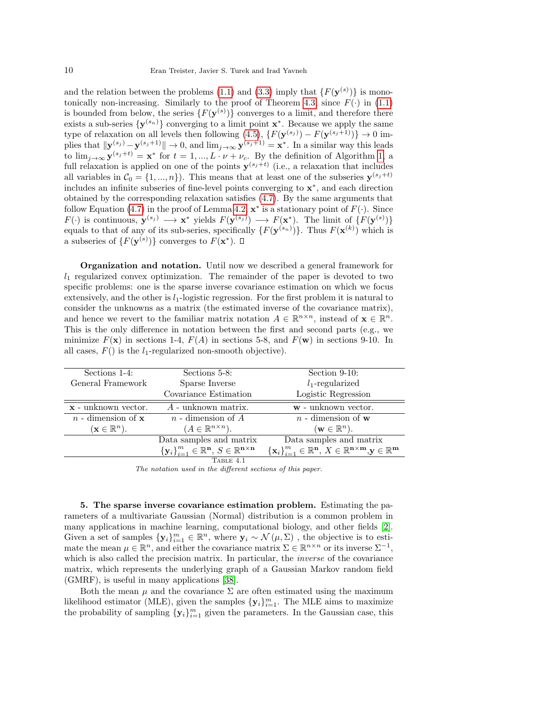and the relation between the problems [\(1.1\)](#page-0-0) and [\(3.3\)](#page-4-0) imply that  $\{F(\mathbf{y}^{(s)})\}$  is mono-tonically non-increasing. Similarly to the proof of Theorem [4.3,](#page-7-2) since  $F(.)$  in [\(1.1\)](#page-0-0) is bounded from below, the series  $\{F(\mathbf{y}^{(s)})\}$  converges to a limit, and therefore there exists a sub-series  $\{y^{(s_n)}\}$  converging to a limit point  $x^*$ . Because we apply the same type of relaxation on all levels then following  $(4.5)$ ,  $\{F(\mathbf{y}^{(s_j)}) - F(\mathbf{y}^{(s_j+1)})\} \to 0$  implies that  $\|\mathbf{y}^{(s_j)} - \mathbf{y}^{(s_j+1)}\| \to 0$ , and  $\lim_{j\to\infty} \mathbf{y}^{(s_j+1)} = \mathbf{x}^*$ . In a similar way this leads to  $\lim_{j\to\infty} \mathbf{y}^{(s_j+t)} = \mathbf{x}^*$  for  $t = 1, ..., L \cdot \nu + \nu_c$  $t = 1, ..., L \cdot \nu + \nu_c$  $t = 1, ..., L \cdot \nu + \nu_c$ . By the definition of Algorithm 1, a full relaxation is applied on one of the points  $y^{(s_j+t)}$  (i.e., a relaxation that includes all variables in  $\mathcal{C}_0 = \{1, ..., n\}$ . This means that at least one of the subseries  $\mathbf{y}^{(s_j + t)}$ includes an infinite subseries of fine-level points converging to x ∗ , and each direction obtained by the corresponding relaxation satisfies [\(4.7\)](#page-7-3). By the same arguments that follow Equation [\(4.7\)](#page-7-3) in the proof of Lemma [4.2,](#page-7-0)  $\mathbf{x}^*$  is a stationary point of  $F(\cdot)$ . Since  $F(\cdot)$  is continuous,  $\mathbf{y}^{(s_j)} \longrightarrow \mathbf{x}^*$  yields  $F(\mathbf{y}^{(s_j)}) \longrightarrow F(\mathbf{x}^*)$ . The limit of  $\{F(\mathbf{y}^{(s)})\}$ equals to that of any of its sub-series, specifically  $\{F(\mathbf{y}^{(s_n)})\}$ . Thus  $F(\mathbf{x}^{(k)})$  which is a subseries of  $\{F(\mathbf{y}^{(s)})\}$  converges to  $F(\mathbf{x}^*)$ .

Organization and notation. Until now we described a general framework for  $l_1$  regularized convex optimization. The remainder of the paper is devoted to two specific problems: one is the sparse inverse covariance estimation on which we focus extensively, and the other is  $l_1$ -logistic regression. For the first problem it is natural to consider the unknowns as a matrix (the estimated inverse of the covariance matrix), and hence we revert to the familiar matrix notation  $A \in \mathbb{R}^{n \times n}$ , instead of  $\mathbf{x} \in \mathbb{R}^{n}$ . This is the only difference in notation between the first and second parts (e.g., we minimize  $F(\mathbf{x})$  in sections 1-4,  $F(A)$  in sections 5-8, and  $F(\mathbf{w})$  in sections 9-10. In all cases,  $F()$  is the  $l_1$ -regularized non-smooth objective).

| Sections 1-4:                    | Sections 5-8:                                                                   | Section $9-10$ :                                                                                      |  |  |  |
|----------------------------------|---------------------------------------------------------------------------------|-------------------------------------------------------------------------------------------------------|--|--|--|
| General Framework                | Sparse Inverse                                                                  | $l_1$ -regularized                                                                                    |  |  |  |
|                                  | Covariance Estimation                                                           | Logistic Regression                                                                                   |  |  |  |
| $x$ - unknown vector.            | $A$ - unknown matrix.                                                           | w - unknown vector.                                                                                   |  |  |  |
| $n-$ dimension of $x$            | $n$ - dimension of $A$                                                          | $n-$ dimension of w                                                                                   |  |  |  |
| $(\mathbf{x} \in \mathbb{R}^n).$ | $(A \in \mathbb{R}^{n \times n}).$                                              | $(\mathbf{w} \in \mathbb{R}^n).$                                                                      |  |  |  |
|                                  | Data samples and matrix                                                         | Data samples and matrix                                                                               |  |  |  |
|                                  | ${\{\mathbf{y}_i\}}_{i=1}^m \in \mathbb{R}^n$ , $S \in \mathbb{R}^{n \times n}$ | $\{\mathbf x_i\}_{i=1}^m \in \mathbb{R}^n, X \in \mathbb{R}^{n \times m}, \mathbf y \in \mathbb{R}^m$ |  |  |  |
|                                  | TABLE 4.1                                                                       |                                                                                                       |  |  |  |
|                                  |                                                                                 |                                                                                                       |  |  |  |

The notation used in the different sections of this paper.

5. The sparse inverse covariance estimation problem. Estimating the parameters of a multivariate Gaussian (Normal) distribution is a common problem in many applications in machine learning, computational biology, and other fields [\[2\]](#page-24-9). Given a set of samples  $\{y_i\}_{i=1}^m \in \mathbb{R}^n$ , where  $y_i \sim \mathcal{N}(\mu, \Sigma)$ , the objective is to estimate the mean  $\mu \in \mathbb{R}^n$ , and either the covariance matrix  $\Sigma \in \mathbb{R}^{n \times n}$  or its inverse  $\Sigma^{-1}$ , which is also called the precision matrix. In particular, the *inverse* of the covariance matrix, which represents the underlying graph of a Gaussian Markov random field (GMRF), is useful in many applications [\[38\]](#page-25-19).

Both the mean  $\mu$  and the covariance  $\Sigma$  are often estimated using the maximum likelihood estimator (MLE), given the samples  $\{y_i\}_{i=1}^m$ . The MLE aims to maximize the probability of sampling  $\{y_i\}_{i=1}^m$  given the parameters. In the Gaussian case, this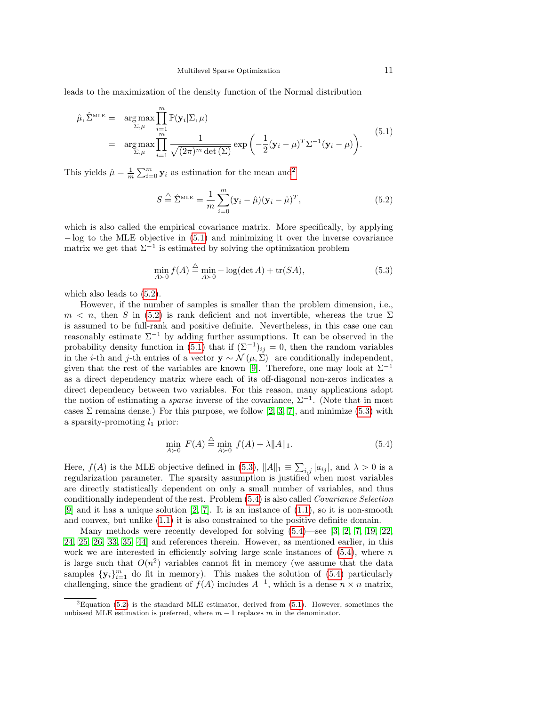leads to the maximization of the density function of the Normal distribution

<span id="page-10-1"></span>
$$
\hat{\mu}, \hat{\Sigma}^{\text{MLE}} = \underset{\Sigma, \mu}{\arg \max} \prod_{\substack{i=1 \ \Sigma, \mu}}^m \mathbb{P}(\mathbf{y}_i | \Sigma, \mu)
$$
\n
$$
= \underset{\Sigma, \mu}{\arg \max} \prod_{i=1}^m \frac{1}{\sqrt{(2\pi)^m \det(\Sigma)}} \exp\left(-\frac{1}{2} (\mathbf{y}_i - \mu)^T \Sigma^{-1} (\mathbf{y}_i - \mu)\right). \tag{5.1}
$$

This yields  $\hat{\mu} = \frac{1}{m} \sum_{i=0}^{m} \mathbf{y}_i$  as estimation for the mean and<sup>[2](#page-10-0)</sup>

<span id="page-10-2"></span>
$$
S \stackrel{\triangle}{=} \hat{\Sigma}^{\text{MLE}} = \frac{1}{m} \sum_{i=0}^{m} (\mathbf{y}_i - \hat{\mu})(\mathbf{y}_i - \hat{\mu})^T,
$$
\n(5.2)

which is also called the empirical covariance matrix. More specifically, by applying  $-\log$  to the MLE objective in [\(5.1\)](#page-10-1) and minimizing it over the inverse covariance matrix we get that  $\Sigma^{-1}$  is estimated by solving the optimization problem

<span id="page-10-3"></span>
$$
\min_{A \succ 0} f(A) \stackrel{\triangle}{=} \min_{A \succ 0} -\log(\det A) + \text{tr}(SA),\tag{5.3}
$$

which also leads to [\(5.2\)](#page-10-2).

However, if the number of samples is smaller than the problem dimension, i.e.,  $m \leq n$ , then S in [\(5.2\)](#page-10-2) is rank deficient and not invertible, whereas the true  $\Sigma$ is assumed to be full-rank and positive definite. Nevertheless, in this case one can reasonably estimate  $\Sigma^{-1}$  by adding further assumptions. It can be observed in the probability density function in [\(5.1\)](#page-10-1) that if  $(\Sigma^{-1})_{ij} = 0$ , then the random variables in the *i*-th and *j*-th entries of a vector  $y \sim \mathcal{N}(\mu, \Sigma)$  are conditionally independent, given that the rest of the variables are known [\[9\]](#page-24-12). Therefore, one may look at  $\Sigma^{-1}$ as a direct dependency matrix where each of its off-diagonal non-zeros indicates a direct dependency between two variables. For this reason, many applications adopt the notion of estimating a *sparse* inverse of the covariance,  $\Sigma^{-1}$ . (Note that in most cases  $\Sigma$  remains dense.) For this purpose, we follow [\[2,](#page-24-9) [3,](#page-24-8) [7\]](#page-24-10), and minimize [\(5.3\)](#page-10-3) with a sparsity-promoting  $l_1$  prior:

<span id="page-10-4"></span>
$$
\min_{A \succ 0} F(A) \stackrel{\triangle}{=} \min_{A \succ 0} f(A) + \lambda \|A\|_1. \tag{5.4}
$$

Here,  $f(A)$  is the MLE objective defined in [\(5.3\)](#page-10-3),  $||A||_1 \equiv \sum_{i,j} |a_{ij}|$ , and  $\lambda > 0$  is a regularization parameter. The sparsity assumption is justified when most variables are directly statistically dependent on only a small number of variables, and thus conditionally independent of the rest. Problem [\(5.4\)](#page-10-4) is also called Covariance Selection [\[9\]](#page-24-12) and it has a unique solution [\[2,](#page-24-9) [7\]](#page-24-10). It is an instance of  $(1.1)$ , so it is non-smooth and convex, but unlike [\(1.1\)](#page-0-0) it is also constrained to the positive definite domain.

Many methods were recently developed for solving  $(5.4)$ —see [\[3,](#page-24-8) [2,](#page-24-9) [7,](#page-24-10) [19,](#page-25-8) [22,](#page-25-9) [24,](#page-25-10) [25,](#page-25-11) [26,](#page-25-12) [33,](#page-25-13) [35,](#page-25-14) [44\]](#page-26-8) and references therein. However, as mentioned earlier, in this work we are interested in efficiently solving large scale instances of  $(5.4)$ , where n is large such that  $O(n^2)$  variables cannot fit in memory (we assume that the data samples  $\{y_i\}_{i=1}^m$  do fit in memory). This makes the solution of [\(5.4\)](#page-10-4) particularly challenging, since the gradient of  $f(A)$  includes  $A^{-1}$ , which is a dense  $n \times n$  matrix,

<span id="page-10-0"></span> ${}^{2}$ Equation [\(5.2\)](#page-10-2) is the standard MLE estimator, derived from [\(5.1\)](#page-10-1). However, sometimes the unbiased MLE estimation is preferred, where  $m-1$  replaces m in the denominator.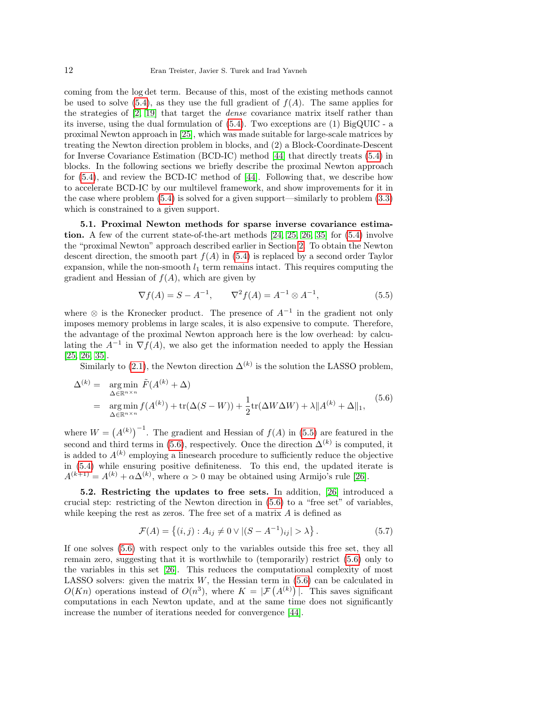coming from the log det term. Because of this, most of the existing methods cannot be used to solve  $(5.4)$ , as they use the full gradient of  $f(A)$ . The same applies for the strategies of [\[2,](#page-24-9) [19\]](#page-25-8) that target the dense covariance matrix itself rather than its inverse, using the dual formulation of [\(5.4\)](#page-10-4). Two exceptions are (1) BigQUIC - a proximal Newton approach in [\[25\]](#page-25-11), which was made suitable for large-scale matrices by treating the Newton direction problem in blocks, and (2) a Block-Coordinate-Descent for Inverse Covariance Estimation (BCD-IC) method [\[44\]](#page-26-8) that directly treats [\(5.4\)](#page-10-4) in blocks. In the following sections we briefly describe the proximal Newton approach for [\(5.4\)](#page-10-4), and review the BCD-IC method of [\[44\]](#page-26-8). Following that, we describe how to accelerate BCD-IC by our multilevel framework, and show improvements for it in the case where problem [\(5.4\)](#page-10-4) is solved for a given support—similarly to problem [\(3.3\)](#page-4-0) which is constrained to a given support.

5.1. Proximal Newton methods for sparse inverse covariance estimation. A few of the current state-of-the-art methods  $[24, 25, 26, 35]$  $[24, 25, 26, 35]$  $[24, 25, 26, 35]$  $[24, 25, 26, 35]$  for  $(5.4)$  involve the "proximal Newton" approach described earlier in Section [2.](#page-2-3) To obtain the Newton descent direction, the smooth part  $f(A)$  in [\(5.4\)](#page-10-4) is replaced by a second order Taylor expansion, while the non-smooth  $l_1$  term remains intact. This requires computing the gradient and Hessian of  $f(A)$ , which are given by

<span id="page-11-0"></span>
$$
\nabla f(A) = S - A^{-1}, \qquad \nabla^2 f(A) = A^{-1} \otimes A^{-1}, \tag{5.5}
$$

where  $\otimes$  is the Kronecker product. The presence of  $A^{-1}$  in the gradient not only imposes memory problems in large scales, it is also expensive to compute. Therefore, the advantage of the proximal Newton approach here is the low overhead: by calculating the  $A^{-1}$  in  $\nabla f(A)$ , we also get the information needed to apply the Hessian [\[25,](#page-25-11) [26,](#page-25-12) [35\]](#page-25-14).

Similarly to [\(2.1\)](#page-2-0), the Newton direction  $\Delta^{(k)}$  is the solution the LASSO problem,

<span id="page-11-1"></span>
$$
\Delta^{(k)} = \underset{\Delta \in \mathbb{R}^{n \times n}}{\arg \min} \tilde{F}(A^{(k)} + \Delta)
$$
  
= 
$$
\underset{\Delta \in \mathbb{R}^{n \times n}}{\arg \min} f(A^{(k)}) + \text{tr}(\Delta(S - W)) + \frac{1}{2} \text{tr}(\Delta W \Delta W) + \lambda ||A^{(k)} + \Delta||_1,
$$
 (5.6)

where  $W = (A^{(k)})^{-1}$ . The gradient and Hessian of  $f(A)$  in [\(5.5\)](#page-11-0) are featured in the second and third terms in [\(5.6\)](#page-11-1), respectively. Once the direction  $\Delta^{(k)}$  is computed, it is added to  $A^{(k)}$  employing a linesearch procedure to sufficiently reduce the objective in [\(5.4\)](#page-10-4) while ensuring positive definiteness. To this end, the updated iterate is  $A^{(k+1)} = A^{(k)} + \alpha \Delta^{(k)}$ , where  $\alpha > 0$  may be obtained using Armijo's rule [\[26\]](#page-25-12).

<span id="page-11-3"></span>5.2. Restricting the updates to free sets. In addition, [\[26\]](#page-25-12) introduced a crucial step: restricting of the Newton direction in [\(5.6\)](#page-11-1) to a "free set" of variables, while keeping the rest as zeros. The free set of a matrix  $A$  is defined as

<span id="page-11-2"></span>
$$
\mathcal{F}(A) = \{(i, j) : A_{ij} \neq 0 \lor |(S - A^{-1})_{ij}| > \lambda\}.
$$
\n(5.7)

If one solves [\(5.6\)](#page-11-1) with respect only to the variables outside this free set, they all remain zero, suggesting that it is worthwhile to (temporarily) restrict [\(5.6\)](#page-11-1) only to the variables in this set [\[26\]](#page-25-12). This reduces the computational complexity of most LASSO solvers: given the matrix  $W$ , the Hessian term in  $(5.6)$  can be calculated in  $O(Kn)$  operations instead of  $O(n^3)$ , where  $K = |\mathcal{F}(A^{(k)})|$ . This saves significant computations in each Newton update, and at the same time does not significantly increase the number of iterations needed for convergence [\[44\]](#page-26-8).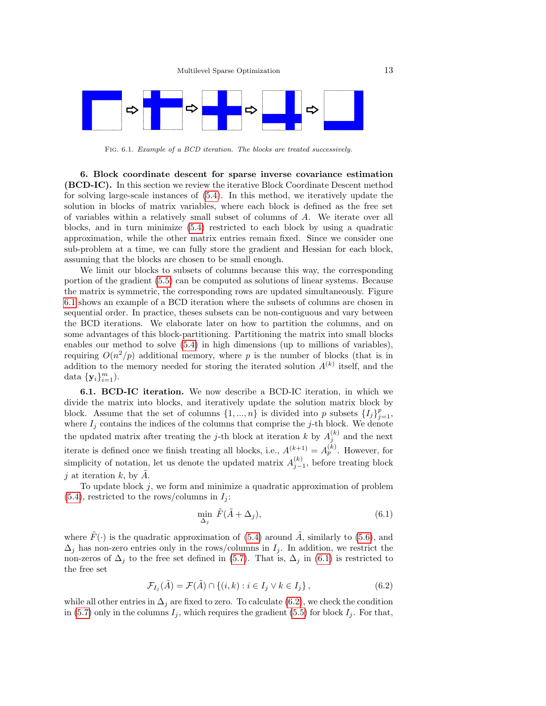

<span id="page-12-0"></span>Fig. 6.1. Example of a BCD iteration. The blocks are treated successively.

6. Block coordinate descent for sparse inverse covariance estimation (BCD-IC). In this section we review the iterative Block Coordinate Descent method for solving large-scale instances of [\(5.4\)](#page-10-4). In this method, we iteratively update the solution in blocks of matrix variables, where each block is defined as the free set of variables within a relatively small subset of columns of A. We iterate over all blocks, and in turn minimize [\(5.4\)](#page-10-4) restricted to each block by using a quadratic approximation, while the other matrix entries remain fixed. Since we consider one sub-problem at a time, we can fully store the gradient and Hessian for each block, assuming that the blocks are chosen to be small enough.

We limit our blocks to subsets of columns because this way, the corresponding portion of the gradient [\(5.5\)](#page-11-0) can be computed as solutions of linear systems. Because the matrix is symmetric, the corresponding rows are updated simultaneously. Figure [6.1](#page-12-0) shows an example of a BCD iteration where the subsets of columns are chosen in sequential order. In practice, theses subsets can be non-contiguous and vary between the BCD iterations. We elaborate later on how to partition the columns, and on some advantages of this block-partitioning. Partitioning the matrix into small blocks enables our method to solve [\(5.4\)](#page-10-4) in high dimensions (up to millions of variables), requiring  $O(n^2/p)$  additional memory, where p is the number of blocks (that is in addition to the memory needed for storing the iterated solution  $A^{(k)}$  itself, and the data  $\{y_i\}_{i=1}^m$ ).

6.1. BCD-IC iteration. We now describe a BCD-IC iteration, in which we divide the matrix into blocks, and iteratively update the solution matrix block by block. Assume that the set of columns  $\{1, ..., n\}$  is divided into p subsets  $\{I_j\}_{j=1}^p$ , where  $I_j$  contains the indices of the columns that comprise the j-th block. We denote the updated matrix after treating the j-th block at iteration k by  $A_j^{(k)}$  and the next iterate is defined once we finish treating all blocks, i.e.,  $A^{(k+1)} = A_p^{(k)}$ . However, for simplicity of notation, let us denote the updated matrix  $A_{j-1}^{(k)}$ , before treating block j at iteration  $k$ , by  $A$ .

To update block  $j$ , we form and minimize a quadratic approximation of problem  $(5.4)$ , restricted to the rows/columns in  $I_i$ :

<span id="page-12-1"></span>
$$
\min_{\Delta_j} \tilde{F}(\tilde{A} + \Delta_j),\tag{6.1}
$$

where  $\tilde{F}(\cdot)$  is the quadratic approximation of [\(5.4\)](#page-10-4) around  $\tilde{A}$ , similarly to [\(5.6\)](#page-11-1), and  $\Delta_j$  has non-zero entries only in the rows/columns in  $I_j$ . In addition, we restrict the non-zeros of  $\Delta_j$  to the free set defined in [\(5.7\)](#page-11-2). That is,  $\Delta_j$  in [\(6.1\)](#page-12-1) is restricted to the free set

<span id="page-12-2"></span>
$$
\mathcal{F}_{I_j}(\tilde{A}) = \mathcal{F}(\tilde{A}) \cap \{ (i,k) : i \in I_j \lor k \in I_j \},\tag{6.2}
$$

while all other entries in  $\Delta_i$  are fixed to zero. To calculate [\(6.2\)](#page-12-2), we check the condition in [\(5.7\)](#page-11-2) only in the columns  $I_j$ , which requires the gradient [\(5.5\)](#page-11-0) for block  $I_j$ . For that,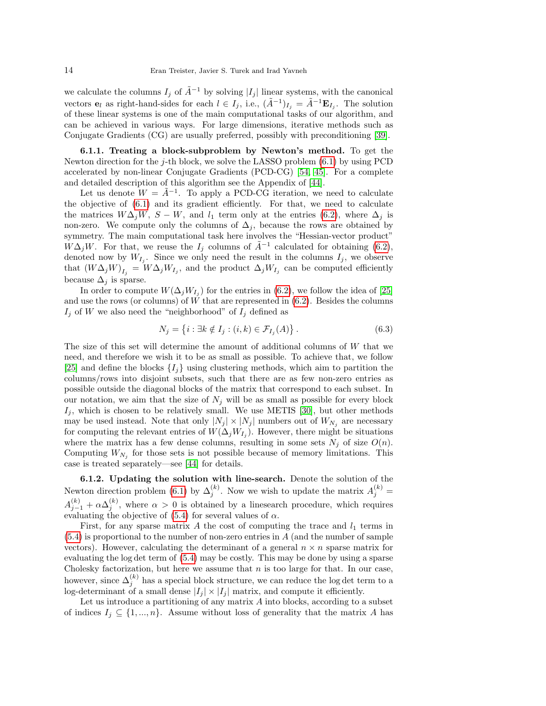we calculate the columns  $I_j$  of  $\tilde{A}^{-1}$  by solving  $|I_j|$  linear systems, with the canonical vectors  $e_l$  as right-hand-sides for each  $l \in I_j$ , i.e.,  $(\tilde{A}^{-1})_{I_j} = \tilde{A}^{-1} \mathbf{E}_{I_j}$ . The solution of these linear systems is one of the main computational tasks of our algorithm, and can be achieved in various ways. For large dimensions, iterative methods such as Conjugate Gradients (CG) are usually preferred, possibly with preconditioning [\[39\]](#page-25-20).

6.1.1. Treating a block-subproblem by Newton's method. To get the Newton direction for the j-th block, we solve the LASSO problem  $(6.1)$  by using PCD accelerated by non-linear Conjugate Gradients (PCD-CG) [\[54,](#page-26-5) [45\]](#page-26-7). For a complete and detailed description of this algorithm see the Appendix of [\[44\]](#page-26-8).

Let us denote  $W = \tilde{A}^{-1}$ . To apply a PCD-CG iteration, we need to calculate the objective of [\(6.1\)](#page-12-1) and its gradient efficiently. For that, we need to calculate the matrices  $W\Delta_i W$ ,  $S - W$ , and  $l_1$  term only at the entries [\(6.2\)](#page-12-2), where  $\Delta_i$  is non-zero. We compute only the columns of  $\Delta_i$ , because the rows are obtained by symmetry. The main computational task here involves the "Hessian-vector product"  $\tilde{W}\Delta_j W$ . For that, we reuse the  $I_j$  columns of  $\tilde{A}^{-1}$  calculated for obtaining [\(6.2\)](#page-12-2), denoted now by  $W_{I_j}$ . Since we only need the result in the columns  $I_j$ , we observe that  $(W\Delta_j W)_{I_j} = W\Delta_j W_{I_j}$ , and the product  $\Delta_j W_{I_j}$  can be computed efficiently because  $\Delta_i$  is sparse.

In order to compute  $W(\Delta_j W_{I_j})$  for the entries in [\(6.2\)](#page-12-2), we follow the idea of [\[25\]](#page-25-11) and use the rows (or columns) of  $W$  that are represented in  $(6.2)$ . Besides the columns  $I_j$  of W we also need the "neighborhood" of  $I_j$  defined as

<span id="page-13-0"></span>
$$
N_j = \left\{ i : \exists k \notin I_j : (i,k) \in \mathcal{F}_{I_j}(A) \right\}.
$$
\n
$$
(6.3)
$$

The size of this set will determine the amount of additional columns of  $W$  that we need, and therefore we wish it to be as small as possible. To achieve that, we follow [\[25\]](#page-25-11) and define the blocks  $\{I_i\}$  using clustering methods, which aim to partition the columns/rows into disjoint subsets, such that there are as few non-zero entries as possible outside the diagonal blocks of the matrix that correspond to each subset. In our notation, we aim that the size of  $N_i$  will be as small as possible for every block  $I_j$ , which is chosen to be relatively small. We use METIS [\[30\]](#page-25-21), but other methods may be used instead. Note that only  $|N_j| \times |N_j|$  numbers out of  $W_{N_j}$  are necessary for computing the relevant entries of  $W(\Delta_j W_{I_j})$ . However, there might be situations where the matrix has a few dense columns, resulting in some sets  $N_j$  of size  $O(n)$ . Computing  $W_{N_j}$  for those sets is not possible because of memory limitations. This case is treated separately—see [\[44\]](#page-26-8) for details.

6.1.2. Updating the solution with line-search. Denote the solution of the Newton direction problem [\(6.1\)](#page-12-1) by  $\Delta_j^{(k)}$ . Now we wish to update the matrix  $A_j^{(k)} =$  $A_{j-1}^{(k)} + \alpha \Delta_j^{(k)}$ , where  $\alpha > 0$  is obtained by a linesearch procedure, which requires evaluating the objective of  $(5.4)$  for several values of  $\alpha$ .

First, for any sparse matrix  $A$  the cost of computing the trace and  $l_1$  terms in  $(5.4)$  is proportional to the number of non-zero entries in A (and the number of sample vectors). However, calculating the determinant of a general  $n \times n$  sparse matrix for evaluating the log det term of [\(5.4\)](#page-10-4) may be costly. This may be done by using a sparse Cholesky factorization, but here we assume that  $n$  is too large for that. In our case, however, since  $\Delta_j^{(k)}$  has a special block structure, we can reduce the log det term to a log-determinant of a small dense  $|I_j| \times |I_j|$  matrix, and compute it efficiently.

Let us introduce a partitioning of any matrix  $A$  into blocks, according to a subset of indices  $I_j \subseteq \{1, ..., n\}$ . Assume without loss of generality that the matrix A has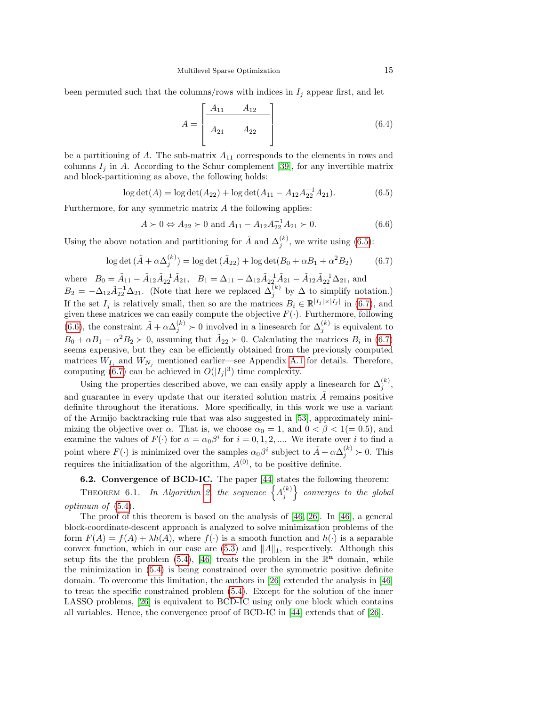been permuted such that the columns/rows with indices in  $I_j$  appear first, and let

<span id="page-14-4"></span>
$$
A = \begin{bmatrix} A_{11} & A_{12} \\ A_{21} & A_{22} \end{bmatrix}
$$
 (6.4)

be a partitioning of A. The sub-matrix  $A_{11}$  corresponds to the elements in rows and columns  $I_j$  in A. According to the Schur complement [\[39\]](#page-25-20), for any invertible matrix and block-partitioning as above, the following holds:

<span id="page-14-0"></span>
$$
\log \det(A) = \log \det(A_{22}) + \log \det(A_{11} - A_{12}A_{22}^{-1}A_{21}).
$$
\n(6.5)

Furthermore, for any symmetric matrix A the following applies:

<span id="page-14-2"></span>
$$
A \succ 0 \Leftrightarrow A_{22} \succ 0 \text{ and } A_{11} - A_{12}A_{22}^{-1}A_{21} \succ 0. \tag{6.6}
$$

Using the above notation and partitioning for  $\tilde{A}$  and  $\Delta_j^{(k)}$ , we write using [\(6.5\)](#page-14-0):

<span id="page-14-1"></span>
$$
\log \det (\tilde{A} + \alpha \Delta_j^{(k)}) = \log \det (\tilde{A}_{22}) + \log \det (B_0 + \alpha B_1 + \alpha^2 B_2)
$$
 (6.7)

where  $B_0 = \tilde{A}_{11} - \tilde{A}_{12}\tilde{A}_{22}^{-1}\tilde{A}_{21}$ ,  $B_1 = \Delta_{11} - \Delta_{12}\tilde{A}_{22}^{-1}\tilde{A}_{21} - \tilde{A}_{12}\tilde{A}_{22}^{-1}\Delta_{21}$ , and  $B_2 = -\Delta_{12}\tilde{A}_{22}^{-1}\Delta_{21}$ . (Note that here we replaced  $\Delta_j^{(k)}$  by  $\Delta$  to simplify notation.) If the set  $I_j$  is relatively small, then so are the matrices  $B_i \in \mathbb{R}^{|I_j| \times |I_j|}$  in [\(6.7\)](#page-14-1), and given these matrices we can easily compute the objective  $F(\cdot)$ . Furthermore, following [\(6.6\)](#page-14-2), the constraint  $\tilde{A} + \alpha \Delta_j^{(k)} \succ 0$  involved in a linesearch for  $\Delta_j^{(k)}$  is equivalent to  $B_0 + \alpha B_1 + \alpha^2 B_2 \succ 0$ , assuming that  $\tilde{A}_{22} \succ 0$ . Calculating the matrices  $B_i$  in [\(6.7\)](#page-14-1) seems expensive, but they can be efficiently obtained from the previously computed matrices  $W_{I_j}$  and  $W_{N_j}$  mentioned earlier—see Appendix [A.1](#page-23-0) for details. Therefore, computing [\(6.7\)](#page-14-1) can be achieved in  $O(|I_j|^3)$  time complexity.

Using the properties described above, we can easily apply a linesearch for  $\Delta_j^{(k)}$ , and guarantee in every update that our iterated solution matrix  $\tilde{A}$  remains positive definite throughout the iterations. More specifically, in this work we use a variant of the Armijo backtracking rule that was also suggested in [\[53\]](#page-26-13), approximately minimizing the objective over  $\alpha$ . That is, we choose  $\alpha_0 = 1$ , and  $0 < \beta < 1 (= 0.5)$ , and examine the values of  $F(\cdot)$  for  $\alpha = \alpha_0 \beta^i$  for  $i = 0, 1, 2, ...$  We iterate over i to find a point where  $F(\cdot)$  is minimized over the samples  $\alpha_0\beta^i$  subject to  $\tilde{A} + \alpha\Delta_j^{(k)} > 0$ . This requires the initialization of the algorithm,  $A^{(0)}$ , to be positive definite.

## 6.2. Convergence of BCD-IC. The paper [\[44\]](#page-26-8) states the following theorem:

<span id="page-14-3"></span>THEOREM 6.1. In Algorithm [2,](#page-14-3) the sequence  $\left\{A_j^{(k)}\right\}$  converges to the global optimum of [\(5.4\)](#page-10-4).

The proof of this theorem is based on the analysis of [\[46,](#page-26-12) [26\]](#page-25-12). In [\[46\]](#page-26-12), a general block-coordinate-descent approach is analyzed to solve minimization problems of the form  $F(A) = f(A) + \lambda h(A)$ , where  $f(\cdot)$  is a smooth function and  $h(\cdot)$  is a separable convex function, which in our case are  $(5.3)$  and  $||A||_1$ , respectively. Although this setup fits the the problem [\(5.4\)](#page-10-4), [\[46\]](#page-26-12) treats the problem in the  $\mathbb{R}^n$  domain, while the minimization in [\(5.4\)](#page-10-4) is being constrained over the symmetric positive definite domain. To overcome this limitation, the authors in [\[26\]](#page-25-12) extended the analysis in [\[46\]](#page-26-12) to treat the specific constrained problem [\(5.4\)](#page-10-4). Except for the solution of the inner LASSO problems, [\[26\]](#page-25-12) is equivalent to BCD-IC using only one block which contains all variables. Hence, the convergence proof of BCD-IC in [\[44\]](#page-26-8) extends that of [\[26\]](#page-25-12).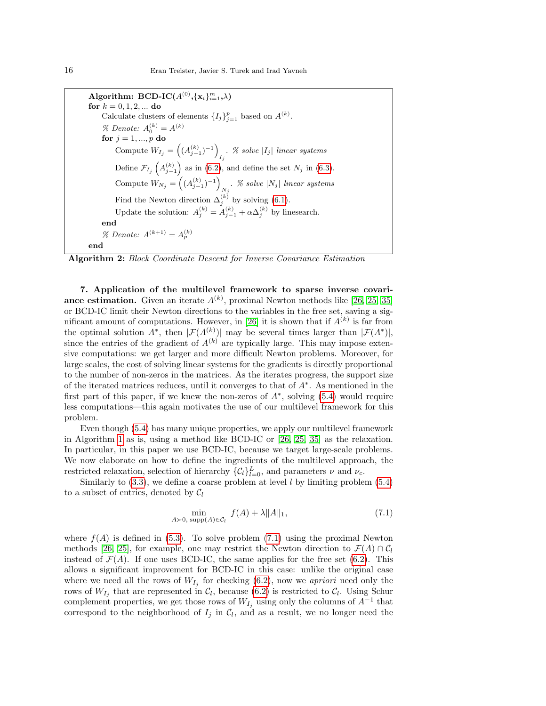Algorithm: BCD-IC $(A^{(0)}, \{\mathbf{x}_i\}_{i=1}^m, \lambda)$ for  $k = 0, 1, 2, ...$  do Calculate clusters of elements  $\{I_j\}_{j=1}^p$  based on  $A^{(k)}$ . % Denote:  $A_0^{(k)} = A^{(k)}$ for  $j = 1, ..., p$  do Compute  $W_{I_j} = ((A_{j-1}^{(k)})^{-1})$ . % solve  $|I_j|$  linear systems Define  $\mathcal{F}_{I_j}\left(A_{j-1}^{(k)}\right)$  as in [\(6.2\)](#page-12-2), and define the set  $N_j$  in [\(6.3\)](#page-13-0). Compute  $W_{N_j} = ((A_{j-1}^{(k)})^{-1})$  $\sum_{N_j}$ . % solve  $|N_j|$  linear systems Find the Newton direction  $\Delta_j^{(k)}$  by solving [\(6.1\)](#page-12-1). Update the solution:  $A_j^{(k)} = A_{j-1}^{(k)} + \alpha \Delta_j^{(k)}$  by linesearch. end % Denote:  $A^{(k+1)} = A_p^{(k)}$ end

Algorithm 2: Block Coordinate Descent for Inverse Covariance Estimation

<span id="page-15-1"></span>7. Application of the multilevel framework to sparse inverse covariance estimation. Given an iterate  $A^{(k)}$ , proximal Newton methods like [\[26,](#page-25-12) [25,](#page-25-11) [35\]](#page-25-14) or BCD-IC limit their Newton directions to the variables in the free set, saving a sig-nificant amount of computations. However, in [\[26\]](#page-25-12) it is shown that if  $A^{(k)}$  is far from the optimal solution  $A^*$ , then  $|\mathcal{F}(A^{(k)})|$  may be several times larger than  $|\mathcal{F}(A^*)|$ , since the entries of the gradient of  $A^{(k)}$  are typically large. This may impose extensive computations: we get larger and more difficult Newton problems. Moreover, for large scales, the cost of solving linear systems for the gradients is directly proportional to the number of non-zeros in the matrices. As the iterates progress, the support size of the iterated matrices reduces, until it converges to that of A<sup>∗</sup> . As mentioned in the first part of this paper, if we knew the non-zeros of  $A^*$ , solving  $(5.4)$  would require less computations—this again motivates the use of our multilevel framework for this problem.

Even though [\(5.4\)](#page-10-4) has many unique properties, we apply our multilevel framework in Algorithm [1](#page-4-1) as is, using a method like BCD-IC or [\[26,](#page-25-12) [25,](#page-25-11) [35\]](#page-25-14) as the relaxation. In particular, in this paper we use BCD-IC, because we target large-scale problems. We now elaborate on how to define the ingredients of the multilevel approach, the restricted relaxation, selection of hierarchy  $\{\mathcal{C}_l\}_{l=0}^L$ , and parameters  $\nu$  and  $\nu_c$ .

Similarly to  $(3.3)$ , we define a coarse problem at level l by limiting problem  $(5.4)$ to a subset of entries, denoted by  $C_l$ 

<span id="page-15-0"></span>
$$
\min_{A \succ 0, \text{ supp}(A) \in \mathcal{C}_l} f(A) + \lambda \|A\|_1,\tag{7.1}
$$

where  $f(A)$  is defined in [\(5.3\)](#page-10-3). To solve problem [\(7.1\)](#page-15-0) using the proximal Newton methods [\[26,](#page-25-12) [25\]](#page-25-11), for example, one may restrict the Newton direction to  $\mathcal{F}(A) \cap \mathcal{C}_l$ instead of  $\mathcal{F}(A)$ . If one uses BCD-IC, the same applies for the free set [\(6.2\)](#page-12-2). This allows a significant improvement for BCD-IC in this case: unlike the original case where we need all the rows of  $W_{I_j}$  for checking [\(6.2\)](#page-12-2), now we *apriori* need only the rows of  $W_{I_j}$  that are represented in  $\mathcal{C}_l$ , because [\(6.2\)](#page-12-2) is restricted to  $\mathcal{C}_l$ . Using Schur complement properties, we get those rows of  $W_{I_j}$  using only the columns of  $A^{-1}$  that correspond to the neighborhood of  $I_j$  in  $\mathcal{C}_l$ , and as a result, we no longer need the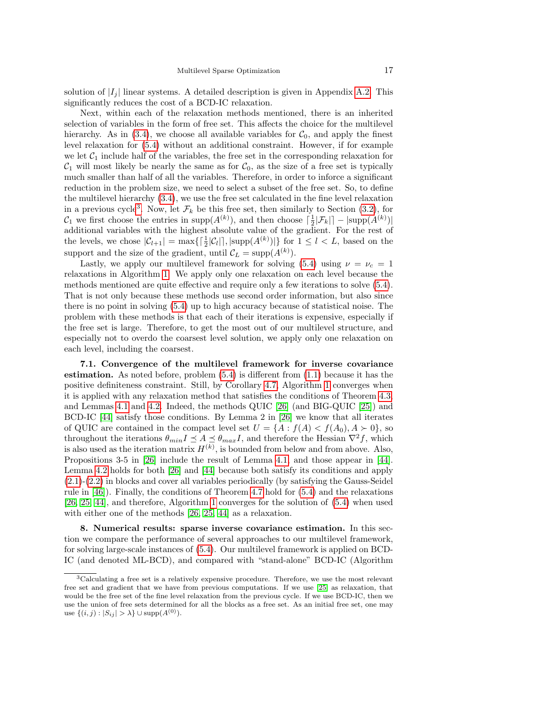solution of  $|I_i|$  linear systems. A detailed description is given in Appendix [A.2.](#page-23-1) This significantly reduces the cost of a BCD-IC relaxation.

Next, within each of the relaxation methods mentioned, there is an inherited selection of variables in the form of free set. This affects the choice for the multilevel hierarchy. As in [\(3.4\)](#page-4-2), we choose all available variables for  $C_0$ , and apply the finest level relaxation for [\(5.4\)](#page-10-4) without an additional constraint. However, if for example we let  $C_1$  include half of the variables, the free set in the corresponding relaxation for  $C_1$  will most likely be nearly the same as for  $C_0$ , as the size of a free set is typically much smaller than half of all the variables. Therefore, in order to inforce a significant reduction in the problem size, we need to select a subset of the free set. So, to define the multilevel hierarchy [\(3.4\)](#page-4-2), we use the free set calculated in the fine level relaxation in a previous cycle<sup>[3](#page-16-0)</sup>. Now, let  $\mathcal{F}_k$  be this free set, then similarly to Section [\(3.2\)](#page-4-3), for  $\mathcal{C}_1$  we first choose the entries in supp $(A^{(k)})$ , and then choose  $\lceil \frac{1}{2} | \mathcal{F}_k | \rceil - |\text{supp}(A^{(k)})|$ additional variables with the highest absolute value of the gradient. For the rest of the levels, we chose  $|\mathcal{C}_{l+1}| = \max\{\lceil \frac{1}{2}|\mathcal{C}_l|\rceil, |\text{supp}(A^{(k)})|\}\$  for  $1 \leq l < L$ , based on the support and the size of the gradient, until  $\mathcal{C}_L = \text{supp}(A^{(k)})$ .

Lastly, we apply our multilevel framework for solving [\(5.4\)](#page-10-4) using  $\nu = \nu_c = 1$ relaxations in Algorithm [1.](#page-4-1) We apply only one relaxation on each level because the methods mentioned are quite effective and require only a few iterations to solve [\(5.4\)](#page-10-4). That is not only because these methods use second order information, but also since there is no point in solving [\(5.4\)](#page-10-4) up to high accuracy because of statistical noise. The problem with these methods is that each of their iterations is expensive, especially if the free set is large. Therefore, to get the most out of our multilevel structure, and especially not to overdo the coarsest level solution, we apply only one relaxation on each level, including the coarsest.

7.1. Convergence of the multilevel framework for inverse covariance estimation. As noted before, problem [\(5.4\)](#page-10-4) is different from [\(1.1\)](#page-0-0) because it has the positive definiteness constraint. Still, by Corollary [4.7,](#page-8-1) Algorithm [1](#page-4-1) converges when it is applied with any relaxation method that satisfies the conditions of Theorem [4.3,](#page-7-2) and Lemmas [4.1](#page-6-4) and [4.2.](#page-7-0) Indeed, the methods QUIC [\[26\]](#page-25-12) (and BIG-QUIC [\[25\]](#page-25-11)) and BCD-IC [\[44\]](#page-26-8) satisfy those conditions. By Lemma 2 in [\[26\]](#page-25-12) we know that all iterates of QUIC are contained in the compact level set  $U = \{A : f(A) < f(A_0), A \succ 0\}$ , so throughout the iterations  $\theta_{min} I \leq A \leq \theta_{max} I$ , and therefore the Hessian  $\nabla^2 f$ , which is also used as the iteration matrix  $H^{(k)}$ , is bounded from below and from above. Also, Propositions 3-5 in [\[26\]](#page-25-12) include the result of Lemma [4.1,](#page-6-4) and those appear in [\[44\]](#page-26-8). Lemma [4.2](#page-7-0) holds for both [\[26\]](#page-25-12) and [\[44\]](#page-26-8) because both satisfy its conditions and apply [\(2.1\)](#page-2-0)-[\(2.2\)](#page-2-2) in blocks and cover all variables periodically (by satisfying the Gauss-Seidel rule in [\[46\]](#page-26-12)). Finally, the conditions of Theorem [4.7](#page-8-1) hold for [\(5.4\)](#page-10-4) and the relaxations [\[26,](#page-25-12) [25,](#page-25-11) [44\]](#page-26-8), and therefore, Algorithm [1](#page-4-1) converges for the solution of [\(5.4\)](#page-10-4) when used with either one of the methods [\[26,](#page-25-12) [25,](#page-25-11) [44\]](#page-26-8) as a relaxation.

8. Numerical results: sparse inverse covariance estimation. In this section we compare the performance of several approaches to our multilevel framework, for solving large-scale instances of [\(5.4\)](#page-10-4). Our multilevel framework is applied on BCD-IC (and denoted ML-BCD), and compared with "stand-alone" BCD-IC (Algorithm

<span id="page-16-0"></span><sup>3</sup>Calculating a free set is a relatively expensive procedure. Therefore, we use the most relevant free set and gradient that we have from previous computations. If we use [\[25\]](#page-25-11) as relaxation, that would be the free set of the fine level relaxation from the previous cycle. If we use BCD-IC, then we use the union of free sets determined for all the blocks as a free set. As an initial free set, one may use  $\{(i, j) : |S_{ij}| > \lambda\} \cup \text{supp}(A^{(0)})$ .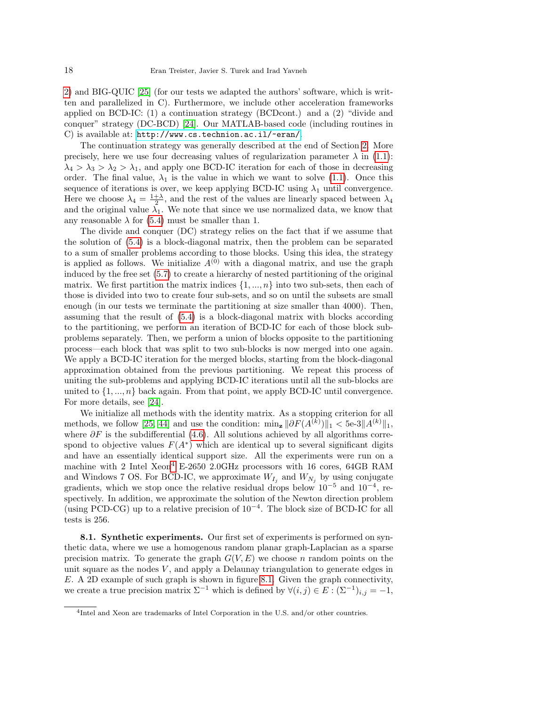[2\)](#page-14-3) and BIG-QUIC [\[25\]](#page-25-11) (for our tests we adapted the authors' software, which is written and parallelized in C). Furthermore, we include other acceleration frameworks applied on BCD-IC: (1) a continuation strategy (BCDcont.) and a (2) "divide and conquer" strategy (DC-BCD) [\[24\]](#page-25-10). Our MATLAB-based code (including routines in C) is available at: <http://www.cs.technion.ac.il/~eran/>.

The continuation strategy was generally described at the end of Section [2.](#page-2-3) More precisely, here we use four decreasing values of regularization parameter  $\lambda$  in [\(1.1\)](#page-0-0):  $\lambda_4 > \lambda_3 > \lambda_2 > \lambda_1$ , and apply one BCD-IC iteration for each of those in decreasing order. The final value,  $\lambda_1$  is the value in which we want to solve [\(1.1\)](#page-0-0). Once this sequence of iterations is over, we keep applying BCD-IC using  $\lambda_1$  until convergence. Here we choose  $\lambda_4 = \frac{1+\lambda}{2}$ , and the rest of the values are linearly spaced between  $\lambda_4$ and the original value  $\bar{\lambda_1}$ . We note that since we use normalized data, we know that any reasonable  $\lambda$  for [\(5.4\)](#page-10-4) must be smaller than 1.

The divide and conquer (DC) strategy relies on the fact that if we assume that the solution of [\(5.4\)](#page-10-4) is a block-diagonal matrix, then the problem can be separated to a sum of smaller problems according to those blocks. Using this idea, the strategy is applied as follows. We initialize  $A^{(0)}$  with a diagonal matrix, and use the graph induced by the free set [\(5.7\)](#page-11-2) to create a hierarchy of nested partitioning of the original matrix. We first partition the matrix indices  $\{1, ..., n\}$  into two sub-sets, then each of those is divided into two to create four sub-sets, and so on until the subsets are small enough (in our tests we terminate the partitioning at size smaller than 4000). Then, assuming that the result of [\(5.4\)](#page-10-4) is a block-diagonal matrix with blocks according to the partitioning, we perform an iteration of BCD-IC for each of those block subproblems separately. Then, we perform a union of blocks opposite to the partitioning process—each block that was split to two sub-blocks is now merged into one again. We apply a BCD-IC iteration for the merged blocks, starting from the block-diagonal approximation obtained from the previous partitioning. We repeat this process of uniting the sub-problems and applying BCD-IC iterations until all the sub-blocks are united to  $\{1, ..., n\}$  back again. From that point, we apply BCD-IC until convergence. For more details, see [\[24\]](#page-25-10).

We initialize all methods with the identity matrix. As a stopping criterion for all methods, we follow [\[25,](#page-25-11) [44\]](#page-26-8) and use the condition:  $\min_{\mathbf{z}} \|\partial F(A^{(k)})\|_1 < 5$ e-3 $||A^{(k)}||_1$ , where  $\partial F$  is the subdifferential [\(4.6\)](#page-6-6). All solutions achieved by all algorithms correspond to objective values  $F(A^*)$  which are identical up to several significant digits and have an essentially identical support size. All the experiments were run on a machine with 2 Intel  $Xeon<sup>4</sup>$  $Xeon<sup>4</sup>$  $Xeon<sup>4</sup>$  E-2650 2.0GHz processors with 16 cores, 64GB RAM and Windows 7 OS. For BCD-IC, we approximate  $W_{I_j}$  and  $W_{N_j}$  by using conjugate gradients, which we stop once the relative residual drops below  $10^{-5}$  and  $10^{-4}$ , respectively. In addition, we approximate the solution of the Newton direction problem (using PCD-CG) up to a relative precision of  $10^{-4}$ . The block size of BCD-IC for all tests is 256.

<span id="page-17-1"></span>8.1. Synthetic experiments. Our first set of experiments is performed on synthetic data, where we use a homogenous random planar graph-Laplacian as a sparse precision matrix. To generate the graph  $G(V, E)$  we choose n random points on the unit square as the nodes  $V$ , and apply a Delaunay triangulation to generate edges in E. A 2D example of such graph is shown in figure [8.1.](#page-12-0) Given the graph connectivity, we create a true precision matrix  $\Sigma^{-1}$  which is defined by  $\forall (i, j) \in E : (\Sigma^{-1})_{i,j} = -1$ ,

<span id="page-17-0"></span><sup>4</sup> Intel and Xeon are trademarks of Intel Corporation in the U.S. and/or other countries.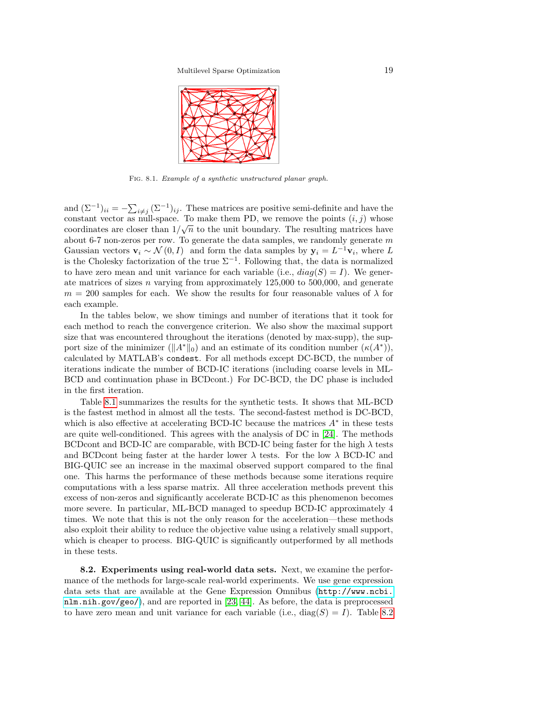

Fig. 8.1. Example of a synthetic unstructured planar graph.

and  $(\Sigma^{-1})_{ii} = -\sum_{i \neq j} (\Sigma^{-1})_{ij}$ . These matrices are positive semi-definite and have the constant vector as null-space. To make them PD, we remove the points  $(i, j)$  whose coordinates are closer than  $1/\sqrt{n}$  to the unit boundary. The resulting matrices have about 6-7 non-zeros per row. To generate the data samples, we randomly generate  $m$ Gaussian vectors  $\mathbf{v}_i \sim \mathcal{N}(0, I)$  and form the data samples by  $\mathbf{y}_i = L^{-1} \mathbf{v}_i$ , where L is the Cholesky factorization of the true  $\Sigma^{-1}$ . Following that, the data is normalized to have zero mean and unit variance for each variable (i.e.,  $diag(S) = I$ ). We generate matrices of sizes  $n$  varying from approximately 125,000 to 500,000, and generate  $m = 200$  samples for each. We show the results for four reasonable values of  $\lambda$  for each example.

In the tables below, we show timings and number of iterations that it took for each method to reach the convergence criterion. We also show the maximal support size that was encountered throughout the iterations (denoted by max-supp), the support size of the minimizer  $(\Vert A^* \Vert_0)$  and an estimate of its condition number  $(\kappa(A^*)),$ calculated by MATLAB's condest. For all methods except DC-BCD, the number of iterations indicate the number of BCD-IC iterations (including coarse levels in ML-BCD and continuation phase in BCDcont.) For DC-BCD, the DC phase is included in the first iteration.

Table [8.1](#page-17-1) summarizes the results for the synthetic tests. It shows that ML-BCD is the fastest method in almost all the tests. The second-fastest method is DC-BCD, which is also effective at accelerating BCD-IC because the matrices  $A^*$  in these tests are quite well-conditioned. This agrees with the analysis of DC in [\[24\]](#page-25-10). The methods BCDcont and BCD-IC are comparable, with BCD-IC being faster for the high  $\lambda$  tests and BCDcont being faster at the harder lower  $\lambda$  tests. For the low  $\lambda$  BCD-IC and BIG-QUIC see an increase in the maximal observed support compared to the final one. This harms the performance of these methods because some iterations require computations with a less sparse matrix. All three acceleration methods prevent this excess of non-zeros and significantly accelerate BCD-IC as this phenomenon becomes more severe. In particular, ML-BCD managed to speedup BCD-IC approximately 4 times. We note that this is not the only reason for the acceleration—these methods also exploit their ability to reduce the objective value using a relatively small support, which is cheaper to process. BIG-QUIC is significantly outperformed by all methods in these tests.

<span id="page-18-0"></span>8.2. Experiments using real-world data sets. Next, we examine the performance of the methods for large-scale real-world experiments. We use gene expression data sets that are available at the Gene Expression Omnibus ([http://www.ncbi.](http://www.ncbi.nlm.nih.gov/geo/) [nlm.nih.gov/geo/](http://www.ncbi.nlm.nih.gov/geo/)), and are reported in [\[23,](#page-25-15) [44\]](#page-26-8). As before, the data is preprocessed to have zero mean and unit variance for each variable (i.e.,  $diag(S) = I$ ). Table [8.2](#page-18-0)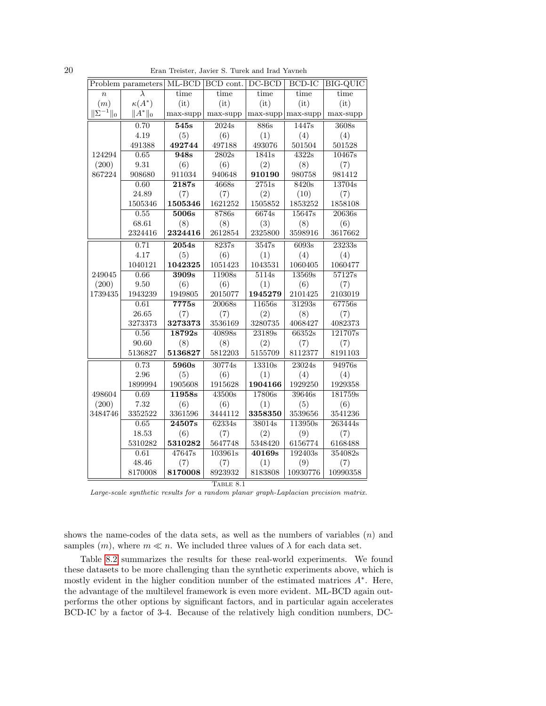| ۰. |  |  |
|----|--|--|
|    |  |  |

20 Eran Treister, Javier S. Turek and Irad Yavneh

|                           | Problem parameters | $ML-BCD$           | BCD cont. | $DC-BCD$            | $BCD-IC$            | <b>BIG-QUIC</b> |  |
|---------------------------|--------------------|--------------------|-----------|---------------------|---------------------|-----------------|--|
| $\overline{n}$            | λ                  | time               | time      | time                | time                | time            |  |
| (m)                       | $\kappa(A^*)$      | (it)               | (it)      | (it)                | (it)                | (it)            |  |
| $\ \hat{\Sigma}^{-1}\ _0$ | $  A^*  _0$        | max-supp           | max-supp  | max-supp            | max-supp            | max-supp        |  |
|                           | 0.70               | 545s               | 2024s     | 886s                | 1447s               | 3608s           |  |
|                           | 4.19               | (5)                | (6)       | (1)                 | (4)                 | (4)             |  |
|                           | 491388             | 492744             | 497188    | 493076              | 501504              | 501528          |  |
| 124294                    | 0.65               | 948s               | 2802s     | 1841s               | 4322s               | 10467s          |  |
| (200)                     | 9.31               | (6)                | (6)       | (2)                 | (8)                 | (7)             |  |
| 867224                    | 908680             | 911034             | 940648    | 910190              | 980758              | 981412          |  |
|                           | 0.60               | $\overline{2187s}$ | 4668s     | $\overline{2751s}$  | 8420s               | 13704s          |  |
|                           | 24.89              | (7)                | (7)       | (2)                 | (10)                | (7)             |  |
|                           | 1505346            | 1505346            | 1621252   | 1505852             | 1853252             | 1858108         |  |
|                           | 0.55               | 5006s              | 8786s     | 6674s               | 15647s              | 20636s          |  |
|                           | 68.61              | (8)                | (8)       | (3)                 | (8)                 | (6)             |  |
|                           | 2324416            | 2324416            | 2612854   | 2325800             | 3598916             | 3617662         |  |
|                           | 0.71               | 2054s              | 8237s     | $\overline{3547s}$  | 6093s               | 23233s          |  |
|                           | 4.17               | (5)                | (6)       | (1)                 | (4)                 | (4)             |  |
|                           | 1040121            | 1042325            | 1051423   | 1043531             | 1060405             | 1060477         |  |
| 249045                    | 0.66               | 3909s              | 11908s    | 5114s               | 13569s              | 57127s          |  |
| (200)                     | 9.50               | (6)                | (6)       | (1)                 | (6)                 | (7)             |  |
| 1739435                   | 1943239            | 1949805            | 2015077   | 1945279             | 2101425             | 2103019         |  |
|                           | 0.61               | 7775s              | 20068s    | 11656s              | $\overline{31293s}$ | 67756s          |  |
|                           | 26.65              | (7)                | (7)       | (2)                 | (8)                 | (7)             |  |
|                           | 3273373            | 3273373            | 3536169   | 3280735             | 4068427             | 4082373         |  |
|                           | 0.56               | 18792s             | 40898s    | 23189s              | 66352s              | 121707s         |  |
|                           | 90.60              | (8)                | (8)       | (2)                 | (7)                 | (7)             |  |
|                           | 5136827            | 5136827            | 5812203   | 5155709             | 8112377             | 8191103         |  |
|                           | 0.73               | 5960s              | 30774s    | 13310s              | 23024s              | 94976s          |  |
|                           | 2.96               | (5)                | (6)       | (1)                 | (4)                 | (4)             |  |
|                           | 1899994            | 1905608            | 1915628   | 1904166             | 1929250             | 1929358         |  |
| 498604                    | 0.69               | 11958s             | 43500s    | 17806s              | 39646s              | 181759s         |  |
| (200)                     | 7.32               | (6)                | (6)       | (1)                 | (5)                 | (6)             |  |
| 3484746                   | 3352522            | 3361596            | 3444112   | 3358350             | 3539656             | 3541236         |  |
|                           | 0.65               | 24507s             | 62334s    | $\overline{38014s}$ | 113950s             | 263444s         |  |
|                           | 18.53              | (6)                | (7)       | (2)                 | (9)                 | (7)             |  |
|                           | 5310282            | 5310282            | 5647748   | 5348420             | 6156774             | 6168488         |  |
|                           | 0.61               | 47647s             | 103961s   | 40169s              | 192403s             | 354082s         |  |
|                           | 48.46              | (7)                | (7)       | (1)                 | (9)                 | (7)             |  |
|                           | 8170008            | 8170008            | 8923932   | 8183808             | 10930776            | 10990358        |  |
| TABLE 8.1                 |                    |                    |           |                     |                     |                 |  |

Large-scale synthetic results for a random planar graph-Laplacian precision matrix.

shows the name-codes of the data sets, as well as the numbers of variables  $(n)$  and samples  $(m)$ , where  $m \ll n$ . We included three values of  $\lambda$  for each data set.

Table [8.2](#page-18-0) summarizes the results for these real-world experiments. We found these datasets to be more challenging than the synthetic experiments above, which is mostly evident in the higher condition number of the estimated matrices  $A^*$ . Here, the advantage of the multilevel framework is even more evident. ML-BCD again outperforms the other options by significant factors, and in particular again accelerates BCD-IC by a factor of 3-4. Because of the relatively high condition numbers, DC-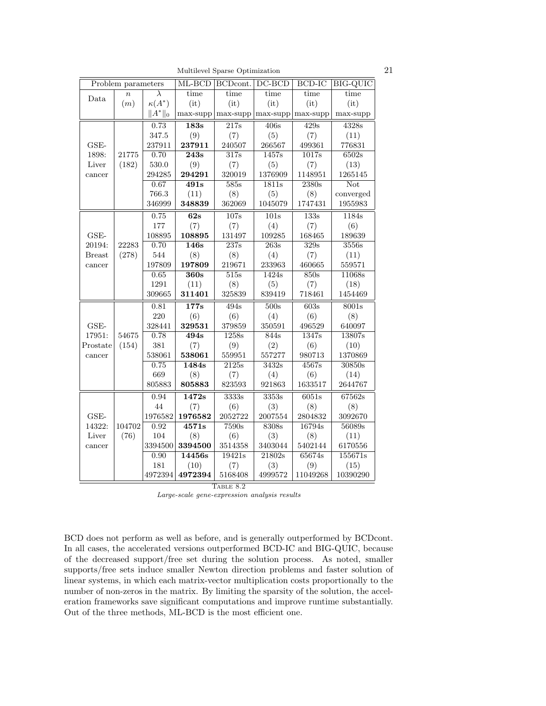Multilevel Sparse Optimization 21

| Problem parameters |                  | ML-BCD        | BCDcont.           | $DC-BCD$           | BCD-IC                   | BIG-QUIC           |                     |  |
|--------------------|------------------|---------------|--------------------|--------------------|--------------------------|--------------------|---------------------|--|
| Data               | $\boldsymbol{n}$ | $\lambda$     | time               | time               | time                     | time               | time                |  |
|                    | (m)              | $\kappa(A^*)$ | (it)               | (it)               | (it)                     | (it)               | (it)                |  |
|                    |                  | $  A^*  _0$   | $max$ -supp        | max-supp           | $max$ -supp $ max$ -supp |                    | $max$ -supp         |  |
|                    |                  | 0.73          | 183s               | 217s               | 406s                     | 429s               | 4328s               |  |
|                    |                  | 347.5         | (9)                | (7)                | (5)                      | (7)                | (11)                |  |
| $GSE-$             |                  | 237911        | 237911             | 240507             | 266567                   | 499361             | 776831              |  |
| 1898:              | 21775            | 0.70          | 243s               | 317s               | 1457s                    | 1017s              | 6502s               |  |
| Liver              | (182)            | 530.0         | (9)                | (7)                | (5)                      | (7)                | (13)                |  |
| cancer             |                  | 294285        | 294291             | 320019             | 1376909                  | 1148951            | 1265145             |  |
|                    |                  | 0.67          | $\overline{491s}$  | $\overline{585s}$  | 1811s                    | 2380s              | Not                 |  |
|                    |                  | 766.3         | (11)               | (8)                | (5)                      | (8)                | converged           |  |
|                    |                  | 346999        | 348839             | 362069             | 1045079                  | 1747431            | 1955983             |  |
|                    |                  | 0.75          | 62s                | 107s               | 101s                     | 133s               | 1184s               |  |
|                    |                  | 177           | (7)                | (7)                | (4)                      | (7)                | (6)                 |  |
| $GSE-$             |                  | 108895        | 108895             | 131497             | 109285                   | 168465             | 189639              |  |
| 20194:             | 22283            | 0.70          | $\overline{146s}$  | $\overline{237s}$  | $\overline{263s}$        | $\overline{329s}$  | 3556s               |  |
| <b>Breast</b>      | (278)            | 544           | (8)                | (8)                | (4)                      | (7)                | (11)                |  |
| cancer             |                  | 197809        | 197809             | 219671             | 233963                   | 460665             | 559571              |  |
|                    |                  | 0.65          | 360s               | 515s               | 1424s                    | 850s               | 11068s              |  |
|                    |                  | 1291          | (11)               | (8)                | (5)                      | (7)                | (18)                |  |
|                    |                  | 309665        | 311401             | 325839             | 839419                   | 718461             | 1454469             |  |
|                    |                  | 0.81          | $\overline{177s}$  | 494s               | 500s                     | $\overline{603s}$  | 8001s               |  |
|                    |                  | 220           | (6)                | (6)                | (4)                      | (6)                | (8)                 |  |
| GSE-               |                  | 328441        | 329531             | 379859             | 350591                   | 496529             | 640097              |  |
| 17951:             | 54675            | 0.78          | 494s               | 1258s              | 844s                     | 1347s              | 13807s              |  |
| Prostate           | (154)            | 381           | (7)                | (9)                | (2)                      | (6)                | (10)                |  |
| cancer             |                  | 538061        | 538061             | 559951             | 557277                   | 980713             | 1370869             |  |
|                    |                  | 0.75          | 1484s              | $\overline{2125s}$ | $\overline{3432s}$       | 4567s              | 30850s              |  |
|                    |                  | 669           | (8)                | (7)                | (4)                      | (6)                | (14)                |  |
|                    |                  | 805883        | 805883             | 823593             | 921863                   | 1633517            | 2644767             |  |
|                    |                  | 0.94          | $\overline{1472s}$ | 3333s              | 3353s                    | $\overline{6051s}$ | $\overline{67562s}$ |  |
|                    |                  | 44            | (7)                | (6)                | (3)                      | (8)                | (8)                 |  |
| GSE-               |                  | 1976582       | 1976582            | 2052722            | 2007554                  | 2804832            | 3092670             |  |
| 14322:             | 104702           | 0.92          | 4571s              | $\overline{7590s}$ | 8308s                    | 16794s             | 56089s              |  |
| Liver              | (76)             | 104           | (8)                | (6)                | (3)                      | (8)                | (11)                |  |
| cancer             |                  | 3394500       | 3394500            | 3514358            | 3403044                  | 5402144            | 6170556             |  |
|                    |                  | 0.90          | 14456s             | 19421s             | 21802s                   | 65674s             | 155671s             |  |
|                    |                  | 181           | (10)               | (7)                | (3)                      | (9)                | (15)                |  |
|                    |                  | 4972394       | 4972394            | 5168408            | 4999572                  | 11049268           | 10390290            |  |
|                    | TABLE 8.2        |               |                    |                    |                          |                    |                     |  |

Large-scale gene-expression analysis results

BCD does not perform as well as before, and is generally outperformed by BCDcont. In all cases, the accelerated versions outperformed BCD-IC and BIG-QUIC, because of the decreased support/free set during the solution process. As noted, smaller supports/free sets induce smaller Newton direction problems and faster solution of linear systems, in which each matrix-vector multiplication costs proportionally to the number of non-zeros in the matrix. By limiting the sparsity of the solution, the acceleration frameworks save significant computations and improve runtime substantially. Out of the three methods, ML-BCD is the most efficient one.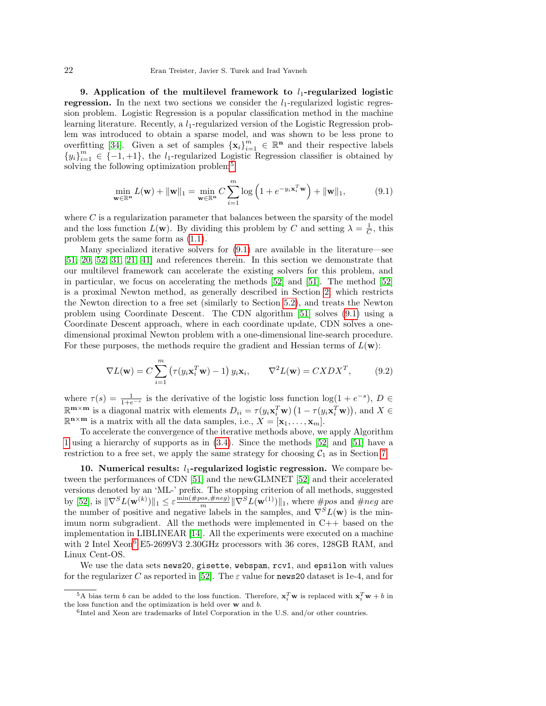9. Application of the multilevel framework to  $l_1$ -regularized logistic **regression.** In the next two sections we consider the  $l_1$ -regularized logistic regression problem. Logistic Regression is a popular classification method in the machine learning literature. Recently, a  $l_1$ -regularized version of the Logistic Regression problem was introduced to obtain a sparse model, and was shown to be less prone to overfitting [\[34\]](#page-25-22). Given a set of samples  $\{x_i\}_{i=1}^m \in \mathbb{R}^n$  and their respective labels  ${y_i}_{i=1}^m \in \{-1,+1\}$ , the l<sub>1</sub>-regularized Logistic Regression classifier is obtained by solving the following optimization problem<sup>[5](#page-21-0)</sup>:

<span id="page-21-1"></span>
$$
\min_{\mathbf{w}\in\mathbb{R}^n} L(\mathbf{w}) + \|\mathbf{w}\|_1 = \min_{\mathbf{w}\in\mathbb{R}^n} C \sum_{i=1}^m \log\left(1 + e^{-y_i \mathbf{x}_i^T \mathbf{w}}\right) + \|\mathbf{w}\|_1,\tag{9.1}
$$

where  $C$  is a regularization parameter that balances between the sparsity of the model and the loss function  $L(\mathbf{w})$ . By dividing this problem by C and setting  $\lambda = \frac{1}{C}$ , this problem gets the same form as [\(1.1\)](#page-0-0).

Many specialized iterative solvers for [\(9.1\)](#page-21-1) are available in the literature—see [\[51,](#page-26-10) [20,](#page-25-23) [52,](#page-26-11) [31,](#page-25-24) [21,](#page-25-25) [41\]](#page-25-26) and references therein. In this section we demonstrate that our multilevel framework can accelerate the existing solvers for this problem, and in particular, we focus on accelerating the methods [\[52\]](#page-26-11) and [\[51\]](#page-26-10). The method [\[52\]](#page-26-11) is a proximal Newton method, as generally described in Section [2,](#page-2-3) which restricts the Newton direction to a free set (similarly to Section [5.2\)](#page-11-3), and treats the Newton problem using Coordinate Descent. The CDN algorithm [\[51\]](#page-26-10) solves [\(9.1\)](#page-21-1) using a Coordinate Descent approach, where in each coordinate update, CDN solves a onedimensional proximal Newton problem with a one-dimensional line-search procedure. For these purposes, the methods require the gradient and Hessian terms of  $L(\mathbf{w})$ :

$$
\nabla L(\mathbf{w}) = C \sum_{i=1}^{m} \left( \tau(y_i \mathbf{x}_i^T \mathbf{w}) - 1 \right) y_i \mathbf{x}_i, \qquad \nabla^2 L(\mathbf{w}) = C X D X^T, \tag{9.2}
$$

where  $\tau(s) = \frac{1}{1+e^{-s}}$  is the derivative of the logistic loss function  $\log(1+e^{-s}), D \in$  $\mathbb{R}^{m \times m}$  is a diagonal matrix with elements  $D_{ii} = \tau(y_i \mathbf{x}_i^T \mathbf{w}) (1 - \tau(y_i \mathbf{x}_i^T \mathbf{w}))$ , and  $X \in$  $\mathbb{R}^{n \times m}$  is a matrix with all the data samples, i.e.,  $X = [\mathbf{x}_1, \dots, \mathbf{x}_m].$ 

To accelerate the convergence of the iterative methods above, we apply Algorithm [1](#page-4-1) using a hierarchy of supports as in [\(3.4\)](#page-4-2). Since the methods [\[52\]](#page-26-11) and [\[51\]](#page-26-10) have a restriction to a free set, we apply the same strategy for choosing  $C_1$  as in Section [7.](#page-15-1)

<span id="page-21-3"></span>10. Numerical results:  $l_1$ -regularized logistic regression. We compare between the performances of CDN [\[51\]](#page-26-10) and the newGLMNET [\[52\]](#page-26-11) and their accelerated versions denoted by an 'ML-' prefix. The stopping criterion of all methods, suggested by [\[52\]](#page-26-11), is  $\|\nabla^S L(\mathbf{w}^{(k)})\|_1 \leq \varepsilon \frac{\min(\#pos, \#neg)}{m} \|\nabla^S L(\mathbf{w}^{(1)})\|_1$ , where  $\#pos$  and  $\#neg$  are the number of positive and negative labels in the samples, and  $\nabla^{S}L(\mathbf{w})$  is the minimum norm subgradient. All the methods were implemented in  $C++$  based on the implementation in LIBLINEAR [\[14\]](#page-25-27). All the experiments were executed on a machine with 2 Intel Xeon<sup>[6](#page-21-2)</sup> E5-2699V3 2.30GHz processors with 36 cores, 128GB RAM, and Linux Cent-OS.

We use the data sets news20, gisette, webspam, rcv1, and epsilon with values for the regularizer C as reported in [\[52\]](#page-26-11). The  $\varepsilon$  value for news 20 dataset is 1e-4, and for

<span id="page-21-0"></span><sup>&</sup>lt;sup>5</sup>A bias term *b* can be added to the loss function. Therefore,  $\mathbf{x}_i^T \mathbf{w}$  is replaced with  $\mathbf{x}_i^T \mathbf{w} + b$  in the loss function and the optimization is held over w and b.

<span id="page-21-2"></span><sup>6</sup> Intel and Xeon are trademarks of Intel Corporation in the U.S. and/or other countries.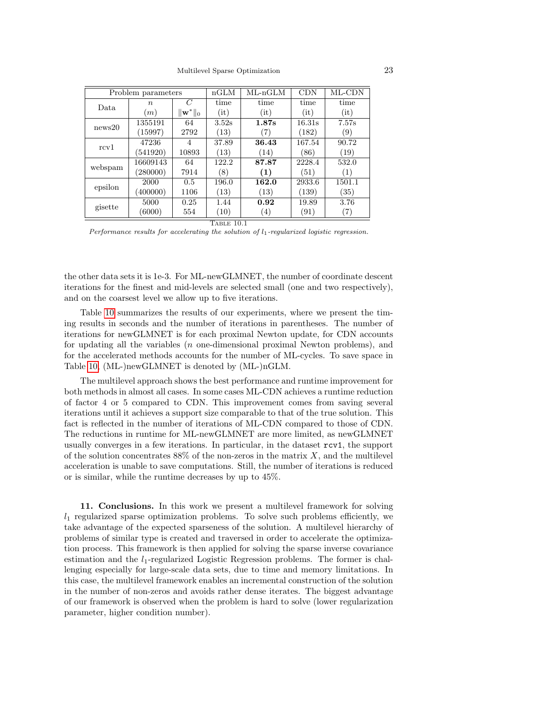| Problem parameters |                  |                      | nGLM            | $ML-nGLM$         | <b>CDN</b> | ML-CDN    |  |
|--------------------|------------------|----------------------|-----------------|-------------------|------------|-----------|--|
| Data               | $\boldsymbol{n}$ | C                    | time            | time              | time       | time      |  |
|                    | (m)              | $\ \mathbf{w}^*\ _0$ | $(\mathrm{it})$ | (it)              | (it)       | (it)      |  |
| news20             | 1355191          | 64                   | 3.52s           | 1.87s             | 16.31s     | 7.57s     |  |
|                    | (15997)          | 2792                 | (13)            | (7)               | (182)      | (9)       |  |
| rcv1               | 47236            | 4                    | 37.89           | 36.43             | 167.54     | 90.72     |  |
|                    | (541920)         | 10893                | (13)            | (14)              | (86)       | (19)      |  |
| webspam            | 16609143         | 64                   | 122.2           | 87.87             | 2228.4     | 532.0     |  |
|                    | (280000)         | 7914                 | (8)             | (1)               | (51)       | (1)       |  |
| epsilon            | 2000             | 0.5                  | 196.0           | 162.0             | 2933.6     | 1501.1    |  |
|                    | (400000)         | 1106                 | (13)            | (13)              | (139)      | $^{(35)}$ |  |
| gisette            | 5000             | 0.25                 | 1.44            | 0.92              | 19.89      | 3.76      |  |
|                    | (6000)           | 554                  | (10)            | $\left( 4\right)$ | (91)       | (7)       |  |
| <b>CONTRACTOR</b>  |                  |                      |                 |                   |            |           |  |

TABLE 10.1

Performance results for accelerating the solution of  $l_1$ -regularized logistic regression.

the other data sets it is 1e-3. For ML-newGLMNET, the number of coordinate descent iterations for the finest and mid-levels are selected small (one and two respectively), and on the coarsest level we allow up to five iterations.

Table [10](#page-21-3) summarizes the results of our experiments, where we present the timing results in seconds and the number of iterations in parentheses. The number of iterations for newGLMNET is for each proximal Newton update, for CDN accounts for updating all the variables (n one-dimensional proximal Newton problems), and for the accelerated methods accounts for the number of ML-cycles. To save space in Table [10,](#page-21-3) (ML-)newGLMNET is denoted by (ML-)nGLM.

The multilevel approach shows the best performance and runtime improvement for both methods in almost all cases. In some cases ML-CDN achieves a runtime reduction of factor 4 or 5 compared to CDN. This improvement comes from saving several iterations until it achieves a support size comparable to that of the true solution. This fact is reflected in the number of iterations of ML-CDN compared to those of CDN. The reductions in runtime for ML-newGLMNET are more limited, as newGLMNET usually converges in a few iterations. In particular, in the dataset rcv1, the support of the solution concentrates  $88\%$  of the non-zeros in the matrix  $X$ , and the multilevel acceleration is unable to save computations. Still, the number of iterations is reduced or is similar, while the runtime decreases by up to 45%.

11. Conclusions. In this work we present a multilevel framework for solving  $l_1$  regularized sparse optimization problems. To solve such problems efficiently, we take advantage of the expected sparseness of the solution. A multilevel hierarchy of problems of similar type is created and traversed in order to accelerate the optimization process. This framework is then applied for solving the sparse inverse covariance estimation and the  $l_1$ -regularized Logistic Regression problems. The former is challenging especially for large-scale data sets, due to time and memory limitations. In this case, the multilevel framework enables an incremental construction of the solution in the number of non-zeros and avoids rather dense iterates. The biggest advantage of our framework is observed when the problem is hard to solve (lower regularization parameter, higher condition number).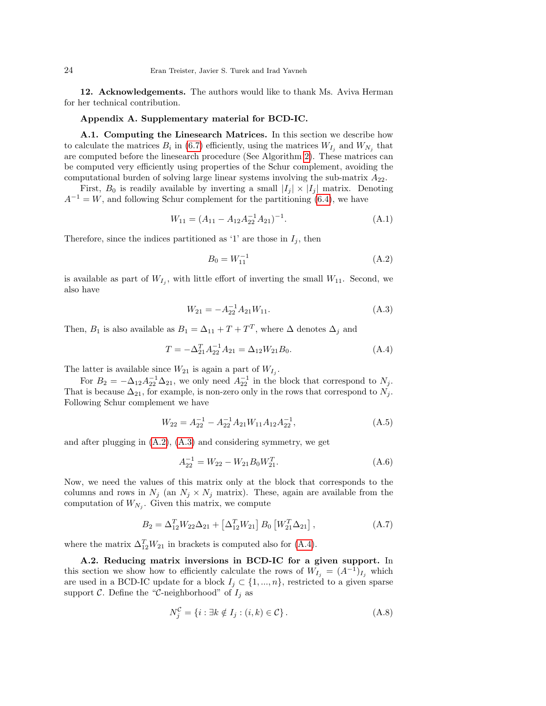12. Acknowledgements. The authors would like to thank Ms. Aviva Herman for her technical contribution.

## Appendix A. Supplementary material for BCD-IC.

<span id="page-23-0"></span>A.1. Computing the Linesearch Matrices. In this section we describe how to calculate the matrices  $B_i$  in [\(6.7\)](#page-14-1) efficiently, using the matrices  $W_{I_j}$  and  $W_{N_j}$  that are computed before the linesearch procedure (See Algorithm [2\)](#page-14-3). These matrices can be computed very efficiently using properties of the Schur complement, avoiding the computational burden of solving large linear systems involving the sub-matrix  $A_{22}$ .

First,  $B_0$  is readily available by inverting a small  $|I_j| \times |I_j|$  matrix. Denoting  $A^{-1} = W$ , and following Schur complement for the partitioning [\(6.4\)](#page-14-4), we have

$$
W_{11} = (A_{11} - A_{12}A_{22}^{-1}A_{21})^{-1}.
$$
\n(A.1)

Therefore, since the indices partitioned as '1' are those in  $I_j$ , then

$$
B_0 = W_{11}^{-1} \tag{A.2}
$$

is available as part of  $W_{I_j}$ , with little effort of inverting the small  $W_{11}$ . Second, we also have

<span id="page-23-2"></span>
$$
W_{21} = -A_{22}^{-1} A_{21} W_{11}.
$$
 (A.3)

Then,  $B_1$  is also available as  $B_1 = \Delta_{11} + T + T^T$ , where  $\Delta$  denotes  $\Delta_j$  and

<span id="page-23-3"></span>
$$
T = -\Delta_{21}^T A_{22}^{-1} A_{21} = \Delta_{12} W_{21} B_0.
$$
 (A.4)

The latter is available since  $W_{21}$  is again a part of  $W_{I_j}$ .

For  $B_2 = -\Delta_{12} A_{22}^{-1} \Delta_{21}$ , we only need  $A_{22}^{-1}$  in the block that correspond to  $N_j$ . That is because  $\Delta_{21}$ , for example, is non-zero only in the rows that correspond to  $N_j$ . Following Schur complement we have

$$
W_{22} = A_{22}^{-1} - A_{22}^{-1} A_{21} W_{11} A_{12} A_{22}^{-1}, \tag{A.5}
$$

and after plugging in [\(A.2\)](#page-1-0), [\(A.3\)](#page-23-2) and considering symmetry, we get

$$
A_{22}^{-1} = W_{22} - W_{21}B_0W_{21}^T.
$$
\n(A.6)

Now, we need the values of this matrix only at the block that corresponds to the columns and rows in  $N_i$  (an  $N_i \times N_j$  matrix). These, again are available from the computation of  $W_{N_j}$ . Given this matrix, we compute

$$
B_2 = \Delta_{12}^T W_{22} \Delta_{21} + \left[ \Delta_{12}^T W_{21} \right] B_0 \left[ W_{21}^T \Delta_{21} \right], \tag{A.7}
$$

where the matrix  $\Delta_{12}^T W_{21}$  in brackets is computed also for [\(A.4\)](#page-23-3).

<span id="page-23-1"></span>A.2. Reducing matrix inversions in BCD-IC for a given support. In this section we show how to efficiently calculate the rows of  $W_{I_j} = (A^{-1})_{I_j}$  which are used in a BCD-IC update for a block  $I_j \subset \{1, ..., n\}$ , restricted to a given sparse support C. Define the "C-neighborhood" of  $I_j$  as

$$
N_j^{\mathcal{C}} = \{i : \exists k \notin I_j : (i,k) \in \mathcal{C}\}.
$$
 (A.8)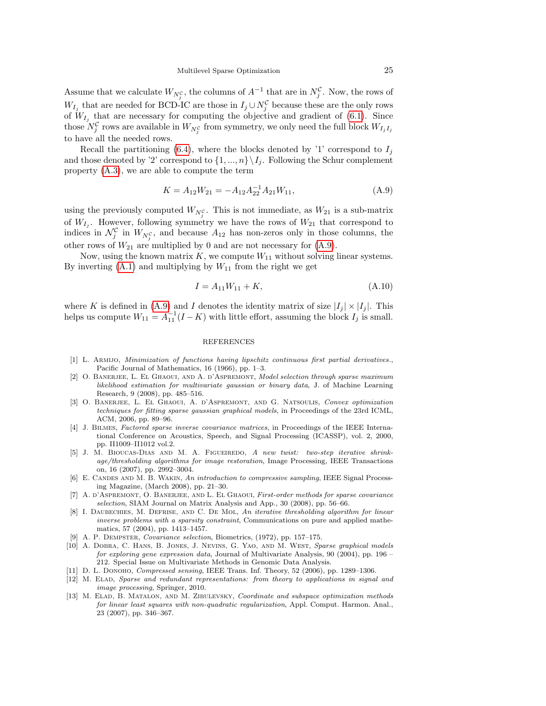Assume that we calculate  $W_{N_j^{\mathcal{C}}}$ , the columns of  $A^{-1}$  that are in  $N_j^{\mathcal{C}}$ . Now, the rows of  $W_{I_j}$  that are needed for BCD-IC are those in  $I_j \cup N_j^{\mathcal{C}}$  because these are the only rows of  $W_{I_j}$  that are necessary for computing the objective and gradient of [\(6.1\)](#page-12-1). Since those  $N_j^{\mathcal{C}}$  rows are available in  $W_{N_j^{\mathcal{C}}}$  from symmetry, we only need the full block  $W_{I_jI_j}$ to have all the needed rows.

Recall the partitioning [\(6.4\)](#page-14-4), where the blocks denoted by '1' correspond to  $I_i$ and those denoted by '2' correspond to  $\{1, ..., n\} \setminus I_j$ . Following the Schur complement property [\(A.3\)](#page-23-2), we are able to compute the term

<span id="page-24-13"></span>
$$
K = A_{12}W_{21} = -A_{12}A_{22}^{-1}A_{21}W_{11},
$$
\n(A.9)

using the previously computed  $W_{N_{j}^{\mathcal{C}}}$ . This is not immediate, as  $W_{21}$  is a sub-matrix of  $W_{I_j}$ . However, following symmetry we have the rows of  $W_{21}$  that correspond to indices in  $\mathcal{N}_j^{\mathcal{C}}$  in  $W_{N_j^{\mathcal{C}}}$ , and because  $A_{12}$  has non-zeros only in those columns, the other rows of  $W_{21}$  are multiplied by 0 and are not necessary for  $(A.9)$ .

Now, using the known matrix  $K$ , we compute  $W_{11}$  without solving linear systems. By inverting  $(A.1)$  and multiplying by  $W_{11}$  from the right we get

$$
I = A_{11}W_{11} + K,\tag{A.10}
$$

where K is defined in [\(A.9\)](#page-24-13) and I denotes the identity matrix of size  $|I_j| \times |I_j|$ . This helps us compute  $W_{11} = A_{11}^{-1}(I - K)$  with little effort, assuming the block  $I_j$  is small.

## REFERENCES

- <span id="page-24-11"></span>[1] L. Armijo, Minimization of functions having lipschitz continuous first partial derivatives., Pacific Journal of Mathematics, 16 (1966), pp. 1–3.
- <span id="page-24-9"></span>[2] O. Banerjee, L. El Ghaoui, and A. d'Aspremont, Model selection through sparse maximum likelihood estimation for multivariate gaussian or binary data, J. of Machine Learning Research, 9 (2008), pp. 485–516.
- <span id="page-24-8"></span>[3] O. Banerjee, L. El Ghaoui, A. d'Aspremont, and G. Natsoulis, Convex optimization techniques for fitting sparse gaussian graphical models, in Proceedings of the 23rd ICML, ACM, 2006, pp. 89–96.
- <span id="page-24-3"></span>[4] J. Bilmes, Factored sparse inverse covariance matrices, in Proceedings of the IEEE International Conference on Acoustics, Speech, and Signal Processing (ICASSP), vol. 2, 2000, pp. II1009–II1012 vol.2.
- <span id="page-24-7"></span>[5] J. M. Bioucas-Dias and M. A. Figueiredo, A new twist: two-step iterative shrinkage/thresholding algorithms for image restoration, Image Processing, IEEE Transactions on, 16 (2007), pp. 2992–3004.
- <span id="page-24-2"></span>[6] E. CANDES AND M. B. WAKIN, An introduction to compressive sampling, IEEE Signal Processing Magazine, (March 2008), pp. 21–30.
- <span id="page-24-10"></span>[7] A. D'ASPREMONT, O. BANERJEE, AND L. EL GHAOUI, First-order methods for sparse covariance selection, SIAM Journal on Matrix Analysis and App., 30 (2008), pp. 56–66.
- <span id="page-24-5"></span>[8] I. DAUBECHIES, M. DEFRISE, AND C. DE MOL, An iterative thresholding algorithm for linear inverse problems with a sparsity constraint, Communications on pure and applied mathematics, 57 (2004), pp. 1413–1457.
- <span id="page-24-12"></span>[9] A. P. Dempster, Covariance selection, Biometrics, (1972), pp. 157–175.
- <span id="page-24-4"></span>[10] A. DOBRA, C. HANS, B. JONES, J. NEVINS, G. YAO, AND M. WEST, Sparse graphical models for exploring gene expression data, Journal of Multivariate Analysis, 90 (2004), pp. 196 – 212. Special Issue on Multivariate Methods in Genomic Data Analysis.
- <span id="page-24-1"></span>[11] D. L. Donoho, *Compressed sensing*, IEEE Trans. Inf. Theory, 52 (2006), pp. 1289–1306.
- <span id="page-24-0"></span>[12] M. Elad, Sparse and redundant representations: from theory to applications in signal and image processing, Springer, 2010.
- <span id="page-24-6"></span>[13] M. ELAD, B. MATALON, AND M. ZIBULEVSKY, Coordinate and subspace optimization methods for linear least squares with non-quadratic regularization, Appl. Comput. Harmon. Anal., 23 (2007), pp. 346–367.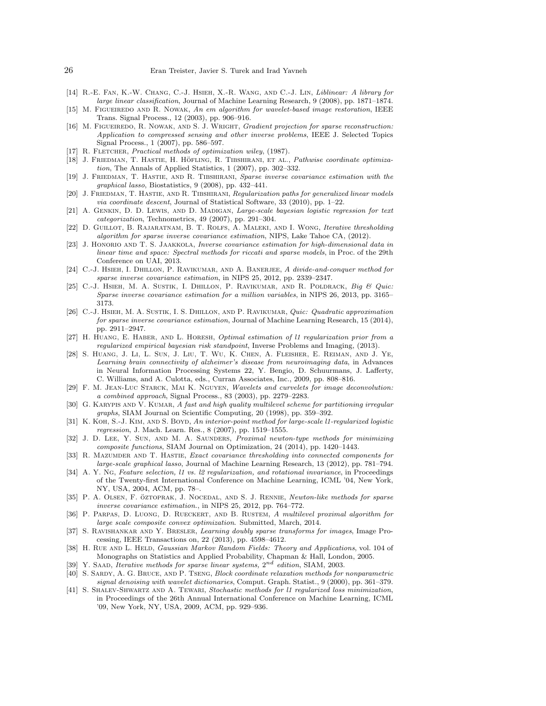- <span id="page-25-27"></span>[14] R.-E. Fan, K.-W. Chang, C.-J. Hsieh, X.-R. Wang, and C.-J. Lin, Liblinear: A library for large linear classification, Journal of Machine Learning Research, 9 (2008), pp. 1871–1874.
- <span id="page-25-1"></span>[15] M. FIGUEIREDO AND R. NOWAK, An em algorithm for wavelet-based image restoration, IEEE Trans. Signal Process., 12 (2003), pp. 906–916.
- <span id="page-25-3"></span>[16] M. FIGUEIREDO, R. NOWAK, AND S. J. WRIGHT, *Gradient projection for sparse reconstruction:* Application to compressed sensing and other inverse problems, IEEE J. Selected Topics Signal Process., 1 (2007), pp. 586–597.
- <span id="page-25-18"></span>[17] R. FLETCHER, Practical methods of optimization wiley, (1987).
- <span id="page-25-4"></span>[18] J. FRIEDMAN, T. HASTIE, H. HÖFLING, R. TIBSHIRANI, ET AL., Pathwise coordinate optimization, The Annals of Applied Statistics, 1 (2007), pp. 302–332.
- <span id="page-25-8"></span>[19] J. FRIEDMAN, T. HASTIE, AND R. TIBSHIRANI, Sparse inverse covariance estimation with the graphical lasso, Biostatistics, 9 (2008), pp. 432–441.
- <span id="page-25-23"></span>[20] J. FRIEDMAN, T. HASTIE, AND R. TIBSHIRANI, Regularization paths for generalized linear models via coordinate descent, Journal of Statistical Software, 33 (2010), pp. 1–22.
- <span id="page-25-25"></span>[21] A. GENKIN, D. D. LEWIS, AND D. MADIGAN, Large-scale bayesian logistic regression for text categorization, Technometrics, 49 (2007), pp. 291–304.
- <span id="page-25-9"></span>[22] D. Guillot, B. Rajaratnam, B. T. Rolfs, A. Maleki, and I. Wong, Iterative thresholding algorithm for sparse inverse covariance estimation, NIPS, Lake Tahoe CA, (2012).
- <span id="page-25-15"></span>[23] J. HONORIO AND T. S. JAAKKOLA, Inverse covariance estimation for high-dimensional data in linear time and space: Spectral methods for riccati and sparse models, in Proc. of the 29th Conference on UAI, 2013.
- <span id="page-25-10"></span>[24] C.-J. Hsieh, I. Dhillon, P. Ravikumar, and A. Banerjee, A divide-and-conquer method for sparse inverse covariance estimation, in NIPS 25, 2012, pp. 2339–2347.
- <span id="page-25-11"></span>[25] C.-J. HSIEH, M. A. SUSTIK, I. DHILLON, P. RAVIKUMAR, AND R. POLDRACK, Big & Quic: Sparse inverse covariance estimation for a million variables, in NIPS 26, 2013, pp. 3165– 3173.
- <span id="page-25-12"></span>[26] C.-J. HSIEH, M. A. SUSTIK, I. S. DHILLON, AND P. RAVIKUMAR, Quic: Quadratic approximation for sparse inverse covariance estimation, Journal of Machine Learning Research, 15 (2014), pp. 2911–2947.
- <span id="page-25-17"></span>[27] H. Huang, E. Haber, and L. Horesh, Optimal estimation of l1 regularization prior from a regularized empirical bayesian risk standpoint, Inverse Problems and Imaging, (2013).
- <span id="page-25-0"></span>[28] S. Huang, J. Li, L. Sun, J. Liu, T. Wu, K. Chen, A. Fleisher, E. Reiman, and J. Ye, Learning brain connectivity of alzheimer's disease from neuroimaging data, in Advances in Neural Information Processing Systems 22, Y. Bengio, D. Schuurmans, J. Lafferty, C. Williams, and A. Culotta, eds., Curran Associates, Inc., 2009, pp. 808–816.
- <span id="page-25-2"></span>[29] F. M. Jean-Luc Starck, Mai K. Nguyen, Wavelets and curvelets for image deconvolution: a combined approach, Signal Process., 83 (2003), pp. 2279–2283.
- <span id="page-25-21"></span>[30] G. KARYPIS AND V. KUMAR, A fast and high quality multilevel scheme for partitioning irregular graphs, SIAM Journal on Scientific Computing, 20 (1998), pp. 359–392.
- <span id="page-25-24"></span>[31] K. KOH, S.-J. KIM, AND S. BOYD, An interior-point method for large-scale l1-regularized logistic regression, J. Mach. Learn. Res., 8 (2007), pp. 1519–1555.
- <span id="page-25-7"></span>[32] J. D. LEE, Y. SUN, AND M. A. SAUNDERS, Proximal newton-type methods for minimizing composite functions, SIAM Journal on Optimization, 24 (2014), pp. 1420–1443.
- <span id="page-25-13"></span>[33] R. MAZUMDER AND T. HASTIE, Exact covariance thresholding into connected components for large-scale graphical lasso, Journal of Machine Learning Research, 13 (2012), pp. 781–794.
- <span id="page-25-22"></span>[34] A. Y. NG, Feature selection, l1 vs. l2 regularization, and rotational invariance, in Proceedings of the Twenty-first International Conference on Machine Learning, ICML '04, New York, NY, USA, 2004, ACM, pp. 78–.
- <span id="page-25-14"></span>[35] P. A. OLSEN, F. ÖZTOPRAK, J. NOCEDAL, AND S. J. RENNIE, Newton-like methods for sparse inverse covariance estimation., in NIPS 25, 2012, pp. 764–772.
- <span id="page-25-6"></span>[36] P. Parpas, D. Luong, D. Rueckert, and B. Rustem, A multilevel proximal algorithm for large scale composite convex optimization. Submitted, March, 2014.
- <span id="page-25-16"></span>[37] S. RAVISHANKAR AND Y. BRESLER, Learning doubly sparse transforms for images, Image Processing, IEEE Transactions on, 22 (2013), pp. 4598–4612.
- <span id="page-25-19"></span>[38] H. RUE AND L. HELD, *Gaussian Markov Random Fields: Theory and Applications*, vol. 104 of Monographs on Statistics and Applied Probability, Chapman & Hall, London, 2005.
- <span id="page-25-20"></span>[39] Y. SAAD, Iterative methods for sparse linear systems,  $2^{nd}$  edition, SIAM, 2003.
- <span id="page-25-5"></span>[40] S. Sardy, A. G. Bruce, and P. Tseng, Block coordinate relaxation methods for nonparametric signal denoising with wavelet dictionaries, Comput. Graph. Statist., 9 (2000), pp. 361–379.
- <span id="page-25-26"></span>[41] S. Shalev-Shwartz and A. Tewari, Stochastic methods for l1 regularized loss minimization, in Proceedings of the 26th Annual International Conference on Machine Learning, ICML '09, New York, NY, USA, 2009, ACM, pp. 929–936.